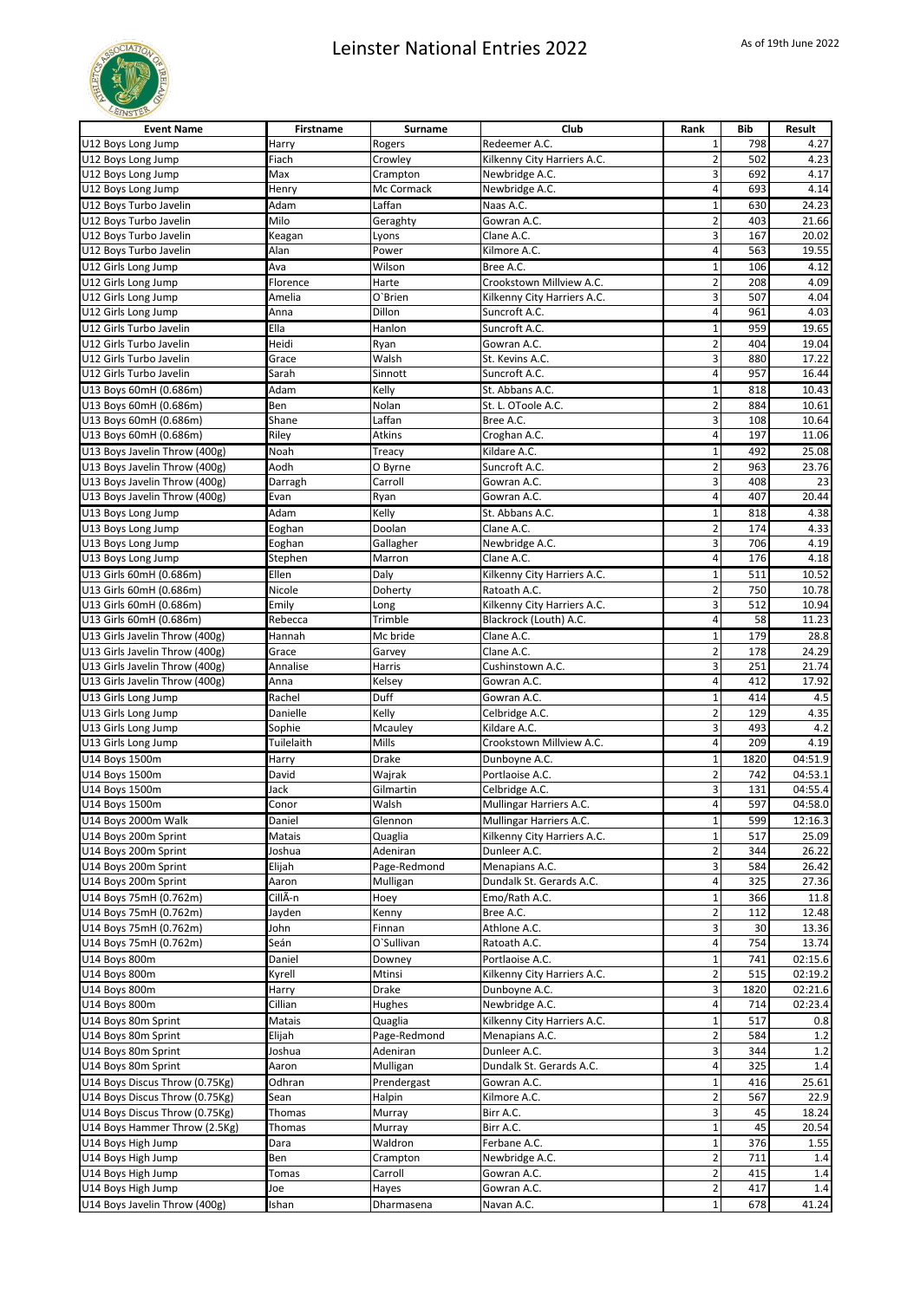

| <b>Event Name</b>                                  | <b>Firstname</b> | Surname               | Club                                     | Rank                          | <b>Bib</b> | Result         |
|----------------------------------------------------|------------------|-----------------------|------------------------------------------|-------------------------------|------------|----------------|
| U12 Boys Long Jump                                 | Harry            | Rogers                | Redeemer A.C.                            | $\mathbf{1}$                  | 798        | 4.27           |
| U12 Boys Long Jump                                 | Fiach            | Crowley               | Kilkenny City Harriers A.C.              | $\overline{\mathbf{c}}$       | 502        | 4.23           |
| U12 Boys Long Jump                                 | Max              | Crampton              | Newbridge A.C.                           | 3                             | 692        | 4.17           |
| U12 Boys Long Jump                                 | Henry            | Mc Cormack            | Newbridge A.C.                           | $\overline{4}$                | 693        | 4.14           |
| U12 Boys Turbo Javelin                             | Adam             | Laffan                | Naas A.C.                                | $\mathbf 1$                   | 630        | 24.23          |
| U12 Boys Turbo Javelin                             | Milo             | Geraghty              | Gowran A.C.                              | $\overline{2}$                | 403        | 21.66          |
| U12 Boys Turbo Javelin                             | Keagan           | Lyons                 | Clane A.C.                               | 3                             | 167        | 20.02          |
| U12 Boys Turbo Javelin                             | Alan             | Power                 | Kilmore A.C.                             | 4                             | 563        | 19.55          |
| U12 Girls Long Jump                                | Ava              | Wilson                | Bree A.C.                                | $\mathbf 1$                   | 106        | 4.12           |
| U12 Girls Long Jump                                | Florence         | Harte                 | Crookstown Millview A.C.                 | $\overline{2}$                | 208        | 4.09           |
| U12 Girls Long Jump                                | Amelia           | O'Brien               | Kilkenny City Harriers A.C.              | 3                             | 507        | 4.04           |
| U12 Girls Long Jump                                | Anna             | Dillon                | Suncroft A.C.                            | 4                             | 961        | 4.03           |
| U12 Girls Turbo Javelin                            | Ella             | Hanlon                | Suncroft A.C.                            | $\mathbf 1$                   | 959        | 19.65          |
| U12 Girls Turbo Javelin                            | Heidi            | Ryan                  | Gowran A.C.                              | $\overline{2}$                | 404        | 19.04          |
| U12 Girls Turbo Javelin<br>U12 Girls Turbo Javelin | Grace            | Walsh<br>Sinnott      | St. Kevins A.C.<br>Suncroft A.C.         | 3<br>4                        | 880<br>957 | 17.22<br>16.44 |
|                                                    | Sarah            |                       |                                          |                               |            |                |
| U13 Boys 60mH (0.686m)                             | Adam<br>Ben      | Kelly<br>Nolan        | St. Abbans A.C.<br>St. L. OToole A.C.    | $\mathbf 1$<br>$\overline{2}$ | 818<br>884 | 10.43<br>10.61 |
| U13 Boys 60mH (0.686m)<br>U13 Boys 60mH (0.686m)   | Shane            | Laffan                | Bree A.C.                                | 3                             | 108        | 10.64          |
| U13 Boys 60mH (0.686m)                             | Riley            | Atkins                | Croghan A.C.                             | 4                             | 197        | 11.06          |
| U13 Boys Javelin Throw (400g)                      | Noah             | Treacy                | Kildare A.C.                             | $\mathbf 1$                   | 492        | 25.08          |
| U13 Boys Javelin Throw (400g)                      | Aodh             | O Byrne               | Suncroft A.C.                            | $\overline{2}$                | 963        | 23.76          |
| U13 Boys Javelin Throw (400g)                      | Darragh          | Carroll               | Gowran A.C.                              | 3                             | 408        | 23             |
| U13 Boys Javelin Throw (400g)                      | Evan             | Ryan                  | Gowran A.C.                              | 4                             | 407        | 20.44          |
| U13 Boys Long Jump                                 | Adam             | Kelly                 | St. Abbans A.C.                          | $\mathbf 1$                   | 818        | 4.38           |
| U13 Boys Long Jump                                 | Eoghan           | Doolan                | Clane A.C.                               | 2                             | 174        | 4.33           |
| U13 Boys Long Jump                                 | Eoghan           | Gallagher             | Newbridge A.C.                           | 3                             | 706        | 4.19           |
| U13 Boys Long Jump                                 | Stephen          | Marron                | Clane A.C.                               | 4                             | 176        | 4.18           |
| U13 Girls 60mH (0.686m)                            | Ellen            | Daly                  | Kilkenny City Harriers A.C.              | $\mathbf 1$                   | 511        | 10.52          |
| U13 Girls 60mH (0.686m)                            | Nicole           | Doherty               | Ratoath A.C.                             | $\overline{2}$                | 750        | 10.78          |
| U13 Girls 60mH (0.686m)                            | Emily            | Long                  | Kilkenny City Harriers A.C.              | 3                             | 512        | 10.94          |
| U13 Girls 60mH (0.686m)                            | Rebecca          | Trimble               | Blackrock (Louth) A.C.                   | 4                             | 58         | 11.23          |
| U13 Girls Javelin Throw (400g)                     | Hannah           | Mc bride              | Clane A.C.                               | $\mathbf 1$                   | 179        | 28.8           |
| U13 Girls Javelin Throw (400g)                     | Grace            | Garvey                | Clane A.C.                               | $\overline{2}$                | 178        | 24.29          |
| U13 Girls Javelin Throw (400g)                     | Annalise         | Harris                | Cushinstown A.C.                         | 3                             | 251        | 21.74          |
| U13 Girls Javelin Throw (400g)                     | Anna             | Kelsey                | Gowran A.C.                              | 4                             | 412        | 17.92          |
| U13 Girls Long Jump                                | Rachel           | Duff                  | Gowran A.C.                              | $\mathbf 1$                   | 414        | 4.5            |
| U13 Girls Long Jump                                | Danielle         | Kelly                 | Celbridge A.C.                           | $\overline{2}$                | 129        | 4.35           |
| U13 Girls Long Jump                                | Sophie           | Mcauley               | Kildare A.C.                             | 3                             | 493        | 4.2            |
| U13 Girls Long Jump                                | Tuilelaith       | Mills                 | Crookstown Millview A.C.                 | 4                             | 209        | 4.19           |
| U14 Boys 1500m                                     | Harry            | Drake                 | Dunboyne A.C.                            | $\mathbf{1}$                  | 1820       | 04:51.9        |
| U14 Boys 1500m                                     | David            | Wajrak                | Portlaoise A.C.                          | $\overline{2}$                | 742        | 04:53.1        |
| U14 Boys 1500m                                     | Jack             | Gilmartin             | Celbridge A.C.                           | 3                             | 131        | 04:55.4        |
| U14 Boys 1500m                                     | Conor            | Walsh                 | Mullingar Harriers A.C.                  | 4                             | 597        | 04:58.0        |
| U14 Boys 2000m Walk                                | Daniel           | Glennon               | Mullingar Harriers A.C.                  | $\mathbf 1$                   | 599        | 12:16.3        |
| U14 Boys 200m Sprint                               | Matais           | Quaglia               | Kilkenny City Harriers A.C.              | $\mathbf 1$                   | 517        | 25.09          |
| U14 Boys 200m Sprint                               | Joshua           | Adeniran              | Dunleer A.C.                             | $\overline{2}$                | 344        | 26.22          |
| U14 Boys 200m Sprint                               | Elijah           | Page-Redmond          | Menapians A.C.                           | 3                             | 584        | 26.42          |
| U14 Boys 200m Sprint                               | Aaron            | Mulligan              | Dundalk St. Gerards A.C.                 | 4                             | 325        | 27.36          |
| U14 Boys 75mH (0.762m)                             | CillÃ-n          | Hoey                  | Emo/Rath A.C.                            | $\mathbf 1$                   | 366        | 11.8           |
| U14 Boys 75mH (0.762m)                             | Jayden           | Kenny                 | Bree A.C.                                | $\overline{\mathbf{c}}$       | 112        | 12.48          |
| U14 Boys 75mH (0.762m)                             | John             | Finnan                | Athlone A.C.                             | 3                             | 30         | 13.36          |
| U14 Boys 75mH (0.762m)                             | Seán             | O`Sullivan            | Ratoath A.C.                             | 4                             | 754        | 13.74          |
| U14 Boys 800m                                      | Daniel           | Downey                | Portlaoise A.C.                          | $\mathbf 1$                   | 741        | 02:15.6        |
| U14 Boys 800m                                      | Kyrell           | Mtinsi                | Kilkenny City Harriers A.C.              | $\mathbf 2$                   | 515        | 02:19.2        |
| U14 Boys 800m                                      | Harry            | Drake                 | Dunboyne A.C.                            | 3                             | 1820       | 02:21.6        |
| U14 Boys 800m                                      | Cillian          | Hughes                | Newbridge A.C.                           | 4                             | 714        | 02:23.4        |
| U14 Boys 80m Sprint                                | Matais           | Quaglia               | Kilkenny City Harriers A.C.              | $\mathbf 1$                   | 517        | 0.8            |
| U14 Boys 80m Sprint<br>U14 Boys 80m Sprint         | Elijah           | Page-Redmond          | Menapians A.C.                           | $\overline{2}$                | 584        | 1.2            |
| U14 Boys 80m Sprint                                | Joshua<br>Aaron  | Adeniran<br>Mulligan  | Dunleer A.C.<br>Dundalk St. Gerards A.C. | 3<br>4                        | 344<br>325 | 1.2<br>1.4     |
| U14 Boys Discus Throw (0.75Kg)                     | Odhran           |                       | Gowran A.C.                              | $\mathbf 1$                   | 416        | 25.61          |
| U14 Boys Discus Throw (0.75Kg)                     | Sean             | Prendergast<br>Halpin | Kilmore A.C.                             | $\overline{2}$                | 567        | 22.9           |
| U14 Boys Discus Throw (0.75Kg)                     | Thomas           | Murray                | Birr A.C.                                | 3                             | 45         | 18.24          |
| U14 Boys Hammer Throw (2.5Kg)                      | Thomas           | Murray                | Birr A.C.                                | $\mathbf 1$                   | 45         | 20.54          |
| U14 Boys High Jump                                 | Dara             | Waldron               | Ferbane A.C.                             | $\mathbf 1$                   | 376        | 1.55           |
| U14 Boys High Jump                                 | Ben              | Crampton              | Newbridge A.C.                           | $\overline{\mathbf{c}}$       | 711        | 1.4            |
| U14 Boys High Jump                                 | Tomas            | Carroll               | Gowran A.C.                              | $\overline{2}$                | 415        | 1.4            |
| U14 Boys High Jump                                 | Joe              | Hayes                 | Gowran A.C.                              | $\overline{2}$                | 417        | 1.4            |
| U14 Boys Javelin Throw (400g)                      | Ishan            | Dharmasena            | Navan A.C.                               | $\mathbf 1$                   | 678        | 41.24          |
|                                                    |                  |                       |                                          |                               |            |                |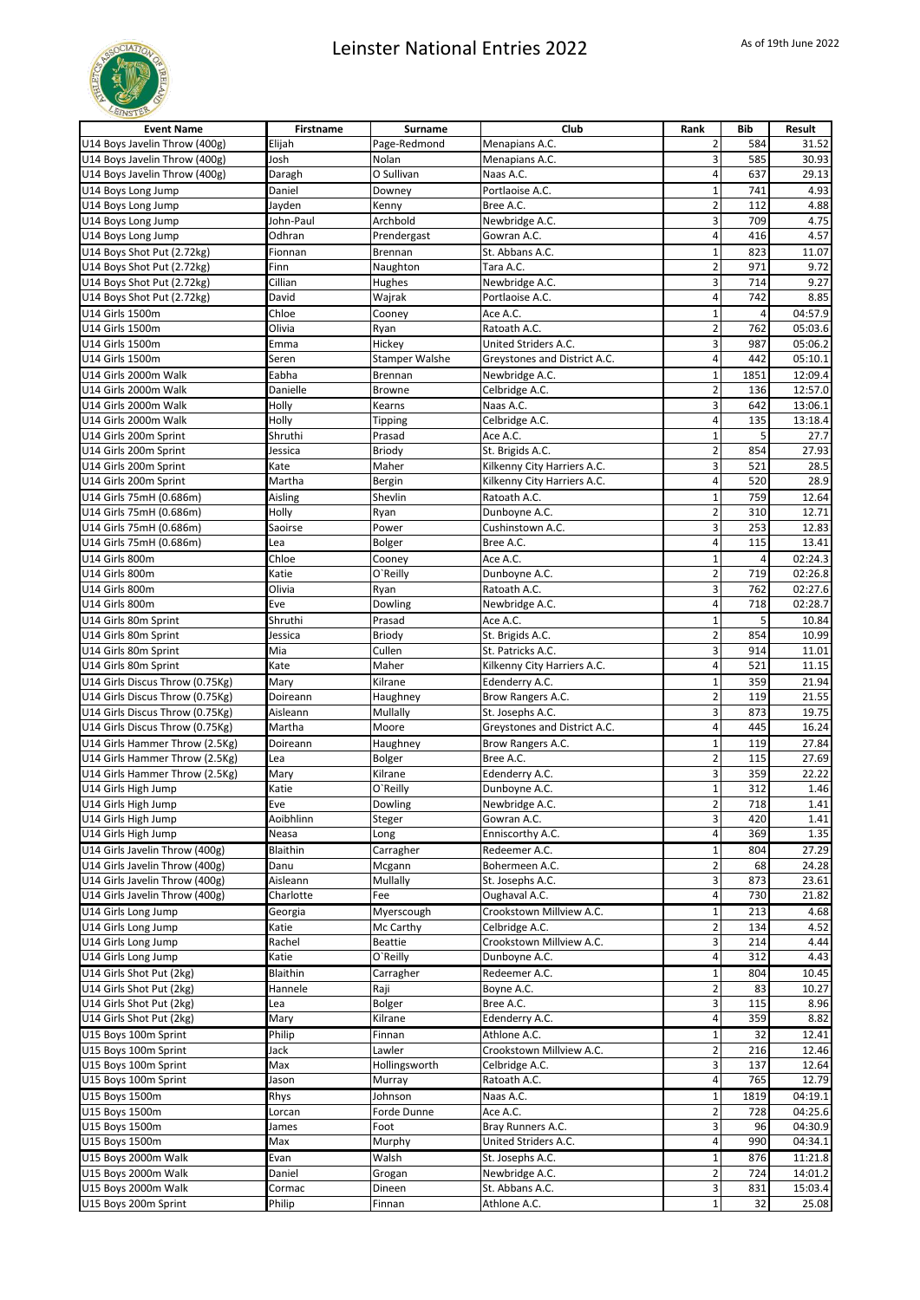

| <b>Event Name</b>                                        | Firstname        | <b>Surname</b>        | Club                              | Rank                           | Bib        | Result       |
|----------------------------------------------------------|------------------|-----------------------|-----------------------------------|--------------------------------|------------|--------------|
| U14 Boys Javelin Throw (400g)                            | Elijah           | Page-Redmond          | Menapians A.C.                    | 2                              | 584        | 31.52        |
| U14 Boys Javelin Throw (400g)                            | Josh             | Nolan                 | Menapians A.C.                    | 3                              | 585        | 30.93        |
| U14 Boys Javelin Throw (400g)                            | Daragh           | O Sullivan            | Naas A.C.                         | 4                              | 637        | 29.13        |
| U14 Boys Long Jump                                       | Daniel           | Downey                | Portlaoise A.C.                   | $\mathbf 1$                    | 741        | 4.93         |
| U14 Boys Long Jump                                       | Jayden           | Kenny                 | Bree A.C.                         | $\overline{2}$                 | 112        | 4.88         |
| U14 Boys Long Jump                                       | John-Paul        | Archbold              | Newbridge A.C.                    | 3                              | 709        | 4.75         |
| U14 Boys Long Jump                                       | Odhran           | Prendergast           | Gowran A.C.                       | 4                              | 416        | 4.57         |
| U14 Boys Shot Put (2.72kg)                               | Fionnan          | Brennan               | St. Abbans A.C.                   | $\mathbf{1}$                   | 823        | 11.07        |
| U14 Boys Shot Put (2.72kg)                               | Finn<br>Cillian  | Naughton<br>Hughes    | Tara A.C.                         | $\overline{2}$<br>3            | 971<br>714 | 9.72<br>9.27 |
| U14 Boys Shot Put (2.72kg)<br>U14 Boys Shot Put (2.72kg) | David            | Wajrak                | Newbridge A.C.<br>Portlaoise A.C. | 4                              | 742        | 8.85         |
| U14 Girls 1500m                                          | Chloe            | Cooney                | Ace A.C.                          | $\mathbf{1}$                   | 4          | 04:57.9      |
| U14 Girls 1500m                                          | Olivia           | Ryan                  | Ratoath A.C.                      | $\overline{\mathbf{c}}$        | 762        | 05:03.6      |
| U14 Girls 1500m                                          | Emma             | Hickey                | United Striders A.C.              | 3                              | 987        | 05:06.2      |
| U14 Girls 1500m                                          | Seren            | <b>Stamper Walshe</b> | Greystones and District A.C.      | 4                              | 442        | 05:10.1      |
| U14 Girls 2000m Walk                                     | Eabha            | Brennan               | Newbridge A.C.                    | $\mathbf 1$                    | 1851       | 12:09.4      |
| U14 Girls 2000m Walk                                     | Danielle         | <b>Browne</b>         | Celbridge A.C.                    | $\overline{\mathbf{c}}$        | 136        | 12:57.0      |
| U14 Girls 2000m Walk                                     | Holly            | Kearns                | Naas A.C.                         | 3                              | 642        | 13:06.1      |
| U14 Girls 2000m Walk                                     | Holly            | Tipping               | Celbridge A.C.                    | 4                              | 135        | 13:18.4      |
| U14 Girls 200m Sprint                                    | Shruthi          | Prasad                | Ace A.C.                          | $\overline{1}$                 | 5          | 27.7         |
| U14 Girls 200m Sprint                                    | Jessica          | Briody                | St. Brigids A.C.                  | $\overline{2}$                 | 854        | 27.93        |
| U14 Girls 200m Sprint                                    | Kate             | Maher                 | Kilkenny City Harriers A.C.       | 3                              | 521        | 28.5         |
| U14 Girls 200m Sprint                                    | Martha           | Bergin                | Kilkenny City Harriers A.C.       | 4                              | 520        | 28.9         |
| U14 Girls 75mH (0.686m)                                  | Aisling          | Shevlin               | Ratoath A.C.                      | $\mathbf{1}$                   | 759        | 12.64        |
| U14 Girls 75mH (0.686m)                                  | Holly            | Ryan                  | Dunboyne A.C.                     | $\overline{2}$                 | 310        | 12.71        |
| U14 Girls 75mH (0.686m)                                  | Saoirse          | Power                 | Cushinstown A.C.                  | 3                              | 253        | 12.83        |
| U14 Girls 75mH (0.686m)                                  | Lea              | Bolger                | Bree A.C.                         | 4                              | 115        | 13.41        |
| U14 Girls 800m                                           | Chloe            | Cooney                | Ace A.C.                          | $\mathbf{1}$                   |            | 02:24.3      |
| U14 Girls 800m                                           | Katie            | O`Reilly              | Dunboyne A.C.                     | $\overline{\mathbf{c}}$        | 719        | 02:26.8      |
| U14 Girls 800m                                           | Olivia           | Ryan                  | Ratoath A.C.                      | 3                              | 762        | 02:27.6      |
| U14 Girls 800m                                           | Eve              | Dowling               | Newbridge A.C.                    | 4                              | 718        | 02:28.7      |
| U14 Girls 80m Sprint                                     | Shruthi          | Prasad                | Ace A.C.                          | $\mathbf 1$                    | 5          | 10.84        |
| U14 Girls 80m Sprint                                     | Jessica          | Briody                | St. Brigids A.C.                  | $\overline{\mathbf{c}}$        | 854        | 10.99        |
| U14 Girls 80m Sprint                                     | Mia              | Cullen                | St. Patricks A.C.                 | 3                              | 914        | 11.01        |
| U14 Girls 80m Sprint                                     | Kate             | Maher                 | Kilkenny City Harriers A.C.       | 4                              | 521        | 11.15        |
| U14 Girls Discus Throw (0.75Kg)                          | Mary             | Kilrane               | Edenderry A.C.                    | $\mathbf 1$                    | 359        | 21.94        |
| U14 Girls Discus Throw (0.75Kg)                          | Doireann         | Haughney              | Brow Rangers A.C.                 | $\overline{2}$                 | 119        | 21.55        |
| U14 Girls Discus Throw (0.75Kg)                          | Aisleann         | Mullally              | St. Josephs A.C.                  | 3                              | 873        | 19.75        |
| U14 Girls Discus Throw (0.75Kg)                          | Martha           | Moore                 | Greystones and District A.C.      | 4                              | 445        | 16.24        |
| U14 Girls Hammer Throw (2.5Kg)                           | Doireann         | Haughney              | Brow Rangers A.C.                 | $\mathbf 1$                    | 119        | 27.84        |
| U14 Girls Hammer Throw (2.5Kg)                           | Lea              | Bolger                | Bree A.C.                         | $\overline{\mathbf{c}}$        | 115        | 27.69        |
| U14 Girls Hammer Throw (2.5Kg)                           | Mary             | Kilrane               | Edenderry A.C.                    | 3                              | 359        | 22.22        |
| U14 Girls High Jump                                      | Katie            | O'Reilly              | Dunboyne A.C.                     | $\mathbf{1}$<br>$\overline{2}$ | 312        | 1.46         |
| U14 Girls High Jump<br>U14 Girls High Jump               | Eve<br>Aoibhlinn | Dowling               | Newbridge A.C.                    | 3                              | 718<br>420 | 1.41         |
| U14 Girls High Jump                                      | Neasa            | Steger<br>Long        | Gowran A.C.<br>Enniscorthy A.C.   | 4                              | 369        | 1.41<br>1.35 |
| U14 Girls Javelin Throw (400g)                           | Blaithin         | Carragher             | Redeemer A.C.                     |                                | 804        | 27.29        |
| U14 Girls Javelin Throw (400g)                           | Danu             | Mcgann                | Bohermeen A.C.                    | $\mathbf 1$<br>$\overline{2}$  | 68         | 24.28        |
| U14 Girls Javelin Throw (400g)                           | Aisleann         | Mullally              | St. Josephs A.C.                  | 3                              | 873        | 23.61        |
| U14 Girls Javelin Throw (400g)                           | Charlotte        | Fee                   | Oughaval A.C.                     | 4                              | 730        | 21.82        |
| U14 Girls Long Jump                                      | Georgia          | Myerscough            | Crookstown Millview A.C.          | $\mathbf 1$                    | 213        | 4.68         |
| U14 Girls Long Jump                                      | Katie            | Mc Carthy             | Celbridge A.C.                    | $\overline{\mathbf{c}}$        | 134        | 4.52         |
| U14 Girls Long Jump                                      | Rachel           | <b>Beattie</b>        | Crookstown Millview A.C.          | 3                              | 214        | 4.44         |
| U14 Girls Long Jump                                      | Katie            | O'Reilly              | Dunboyne A.C.                     | 4                              | 312        | 4.43         |
| U14 Girls Shot Put (2kg)                                 | Blaithin         | Carragher             | Redeemer A.C.                     | $\mathbf{1}$                   | 804        | 10.45        |
| U14 Girls Shot Put (2kg)                                 | Hannele          | Raji                  | Boyne A.C.                        | 2                              | 83         | 10.27        |
| U14 Girls Shot Put (2kg)                                 | Lea              | Bolger                | Bree A.C.                         | 3                              | 115        | 8.96         |
| U14 Girls Shot Put (2kg)                                 | Mary             | Kilrane               | Edenderry A.C.                    | 4                              | 359        | 8.82         |
| U15 Boys 100m Sprint                                     | Philip           | Finnan                | Athlone A.C.                      | 1                              | 32         | 12.41        |
| U15 Boys 100m Sprint                                     | Jack             | Lawler                | Crookstown Millview A.C.          | $\overline{\mathbf{c}}$        | 216        | 12.46        |
| U15 Boys 100m Sprint                                     | Max              | Hollingsworth         | Celbridge A.C.                    | 3                              | 137        | 12.64        |
| U15 Boys 100m Sprint                                     | Jason            | Murray                | Ratoath A.C.                      | 4                              | 765        | 12.79        |
| U15 Boys 1500m                                           | Rhys             | Johnson               | Naas A.C.                         | $\mathbf 1$                    | 1819       | 04:19.1      |
| U15 Boys 1500m                                           | Lorcan           | Forde Dunne           | Ace A.C.                          | $\overline{\mathbf{c}}$        | 728        | 04:25.6      |
| U15 Boys 1500m                                           | James            | Foot                  | Bray Runners A.C.                 | 3                              | 96         | 04:30.9      |
| U15 Boys 1500m                                           | Max              | Murphy                | United Striders A.C.              | 4                              | 990        | 04:34.1      |
| U15 Boys 2000m Walk                                      | Evan             | Walsh                 | St. Josephs A.C.                  | $\mathbf{1}$                   | 876        | 11:21.8      |
| U15 Boys 2000m Walk                                      | Daniel           | Grogan                | Newbridge A.C.                    | $\overline{2}$                 | 724        | 14:01.2      |
| U15 Boys 2000m Walk                                      | Cormac           | Dineen                | St. Abbans A.C.                   | 3                              | 831        | 15:03.4      |
| U15 Boys 200m Sprint                                     | Philip           | Finnan                | Athlone A.C.                      | $\mathbf{1}$                   | 32         | 25.08        |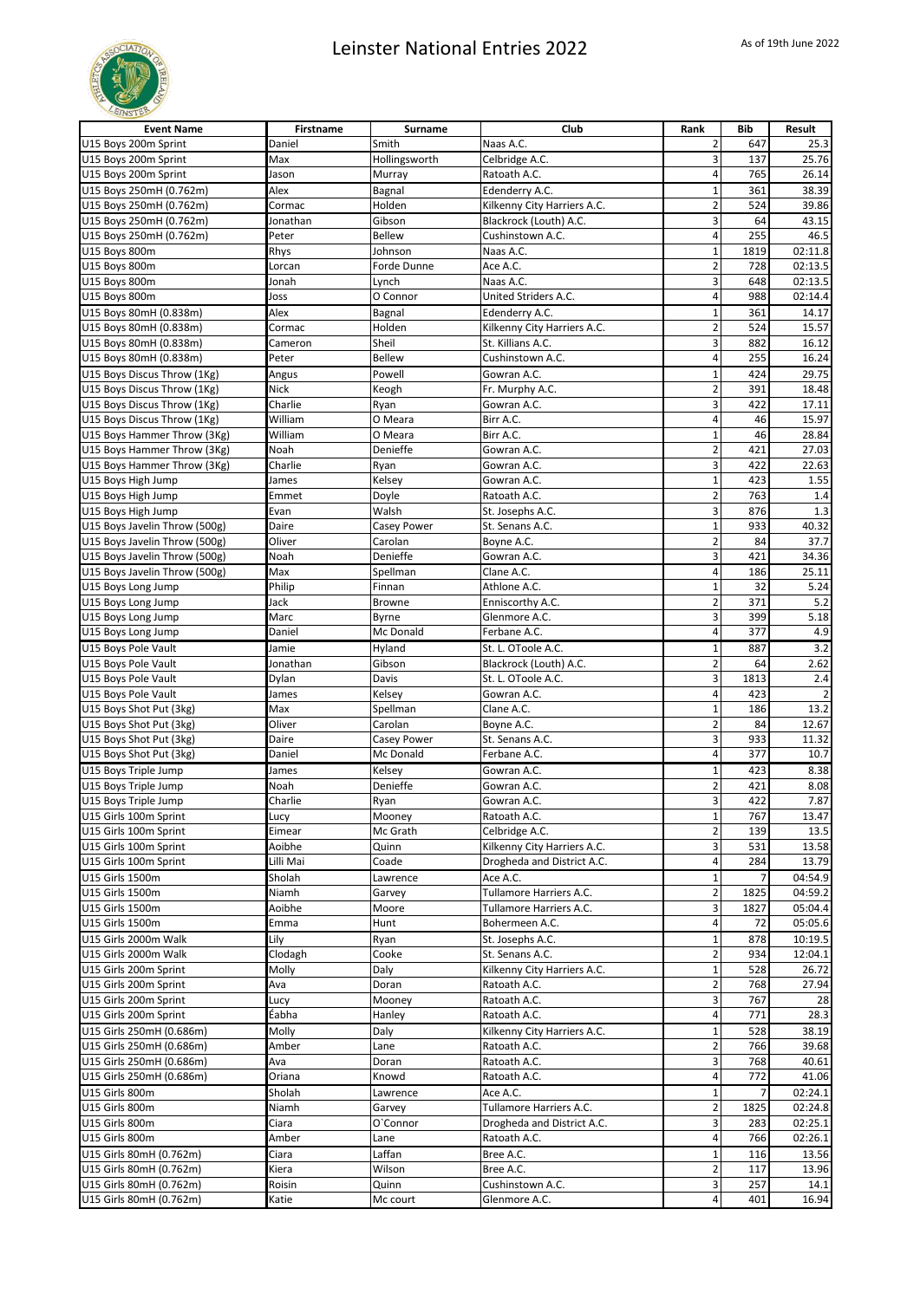

| U15 Bovs 200m Sprint<br>Smith<br>Naas A.C.<br>2<br>Daniel<br>647<br>25.3<br>U15 Boys 200m Sprint<br>3<br>25.76<br>Max<br>Hollingsworth<br>Celbridge A.C.<br>137<br>Jason<br>4<br>765<br>26.14<br>U15 Boys 200m Sprint<br>Murray<br>Ratoath A.C.<br>Alex<br>Bagnal<br>Edenderry A.C.<br>38.39<br>U15 Boys 250mH (0.762m)<br>$\mathbf{1}$<br>361<br>U15 Boys 250mH (0.762m)<br>Kilkenny City Harriers A.C.<br>$\overline{2}$<br>Cormac<br>Holden<br>524<br>39.86<br>3<br>U15 Boys 250mH (0.762m)<br>Gibson<br>Blackrock (Louth) A.C.<br>64<br>43.15<br>Jonathan<br>4<br>U15 Boys 250mH (0.762m)<br>255<br>46.5<br>Peter<br><b>Bellew</b><br>Cushinstown A.C.<br>U15 Boys 800m<br>Rhys<br>Naas A.C.<br>$\mathbf 1$<br>1819<br>02:11.8<br>Johnson<br>$\overline{2}$<br>728<br>U15 Boys 800m<br>Ace A.C.<br>02:13.5<br>Lorcan<br>Forde Dunne<br>3<br>Naas A.C.<br>648<br>U15 Boys 800m<br>02:13.5<br>Jonah<br>Lynch<br>O Connor<br>United Striders A.C.<br>4<br>U15 Boys 800m<br>988<br>02:14.4<br>Joss<br>$\mathbf 1$<br>Alex<br>Edenderry A.C.<br>361<br>14.17<br>U15 Boys 80mH (0.838m)<br>Bagnal<br>$\overline{2}$<br>524<br>U15 Boys 80mH (0.838m)<br>Holden<br>Kilkenny City Harriers A.C.<br>15.57<br>Cormac<br>Sheil<br>St. Killians A.C.<br>3<br>U15 Boys 80mH (0.838m)<br>882<br>16.12<br>Cameron<br>4<br>U15 Boys 80mH (0.838m)<br>Peter<br><b>Bellew</b><br>Cushinstown A.C.<br>255<br>16.24<br>U15 Boys Discus Throw (1Kg)<br>$\mathbf 1$<br>29.75<br>Angus<br>Powell<br>Gowran A.C.<br>424<br>U15 Boys Discus Throw (1Kg)<br>Nick<br>Fr. Murphy A.C.<br>2<br>Keogh<br>391<br>18.48<br>3<br>Charlie<br>U15 Boys Discus Throw (1Kg)<br>Gowran A.C.<br>422<br>17.11<br>Ryan<br>William<br>U15 Boys Discus Throw (1Kg)<br>Birr A.C.<br>4<br>46<br>15.97<br>O Meara<br>William<br>$\mathbf 1$<br>46<br>U15 Boys Hammer Throw (3Kg)<br>Birr A.C.<br>28.84<br>O Meara<br>$\overline{2}$<br>U15 Boys Hammer Throw (3Kg)<br>Noah<br>Denieffe<br>Gowran A.C.<br>421<br>27.03<br>3<br>22.63<br>U15 Boys Hammer Throw (3Kg)<br>Charlie<br>Gowran A.C.<br>422<br>Ryan<br>$\mathbf 1$<br>Gowran A.C.<br>423<br>1.55<br>U15 Boys High Jump<br>James<br>Kelsey<br>$\overline{2}$<br>763<br>1.4<br>U15 Boys High Jump<br>Emmet<br>Doyle<br>Ratoath A.C.<br>3<br>U15 Boys High Jump<br>Walsh<br>876<br>1.3<br>Evan<br>St. Josephs A.C.<br>$\mathbf{1}$<br>U15 Boys Javelin Throw (500g)<br>St. Senans A.C.<br>933<br>40.32<br>Daire<br>Casey Power<br>$\overline{2}$<br>U15 Boys Javelin Throw (500g)<br>Oliver<br>Carolan<br>Boyne A.C.<br>84<br>37.7<br>3<br>U15 Boys Javelin Throw (500g)<br>Noah<br>Denieffe<br>Gowran A.C.<br>421<br>34.36<br>4<br>U15 Boys Javelin Throw (500g)<br>Max<br>Clane A.C.<br>186<br>25.11<br>Spellman<br>Philip<br>Athlone A.C.<br>$\overline{1}$<br>32<br>5.24<br>U15 Boys Long Jump<br>Finnan<br>$\overline{2}$<br>5.2<br>Jack<br>Enniscorthy A.C.<br>371<br>U15 Boys Long Jump<br><b>Browne</b><br>3<br>5.18<br>Marc<br>Glenmore A.C.<br>399<br>U15 Boys Long Jump<br>Byrne<br>Ferbane A.C.<br>4<br>377<br>4.9<br>U15 Boys Long Jump<br>Daniel<br>Mc Donald<br>$\mathbf 1$<br>3.2<br>U15 Boys Pole Vault<br>Jamie<br>St. L. OToole A.C.<br>887<br>Hyland<br>$\overline{2}$<br>2.62<br>U15 Boys Pole Vault<br>Blackrock (Louth) A.C.<br>64<br>Jonathan<br>Gibson<br>3<br>2.4<br>U15 Boys Pole Vault<br>St. L. OToole A.C.<br>1813<br>Dylan<br>Davis<br>4<br>U15 Boys Pole Vault<br>Gowran A.C.<br>423<br>James<br>Kelsey<br>$\overline{2}$<br>Max<br>Clane A.C.<br>$\mathbf 1$<br>186<br>13.2<br>U15 Boys Shot Put (3kg)<br>Spellman<br>$\overline{2}$<br>U15 Boys Shot Put (3kg)<br>Oliver<br>Carolan<br>Boyne A.C.<br>84<br>12.67<br>3<br>U15 Boys Shot Put (3kg)<br>St. Senans A.C.<br>933<br>11.32<br>Daire<br>Casey Power<br>4<br>377<br>10.7<br>U15 Boys Shot Put (3kg)<br>Mc Donald<br>Ferbane A.C.<br>Daniel<br>U15 Boys Triple Jump<br>$\mathbf 1$<br>423<br>8.38<br>James<br>Kelsey<br>Gowran A.C.<br>$\overline{2}$<br>Denieffe<br>Gowran A.C.<br>421<br>8.08<br>U15 Boys Triple Jump<br>Noah<br>3<br>422<br>7.87<br>U15 Boys Triple Jump<br>Charlie<br>Ryan<br>Gowran A.C.<br>U15 Girls 100m Sprint<br>Mooney<br>Ratoath A.C.<br>$1\vert$<br>767<br>13.47<br>Lucy<br>$\overline{2}$<br>Celbridge A.C.<br>139<br>U15 Girls 100m Sprint<br>Eimear<br>Mc Grath<br>13.5<br>3<br>U15 Girls 100m Sprint<br>Aoibhe<br>Kilkenny City Harriers A.C.<br>531<br>13.58<br>Quinn<br>Drogheda and District A.C.<br>U15 Girls 100m Sprint<br>Lilli Mai<br>Coade<br>4<br>284<br>13.79<br>$\mathbf 1$<br>U15 Girls 1500m<br>Sholah<br>Ace A.C.<br>04:54.9<br>Lawrence<br>$\overline{2}$<br>U15 Girls 1500m<br>Tullamore Harriers A.C.<br>1825<br>04:59.2<br>Niamh<br>Garvey<br>Tullamore Harriers A.C.<br>3<br>U15 Girls 1500m<br>Aoibhe<br>Moore<br>1827<br>05:04.4<br>U15 Girls 1500m<br>4<br>Emma<br>Hunt<br>Bohermeen A.C.<br>72<br>05:05.6<br>Lily<br>$\mathbf 1$<br>U15 Girls 2000m Walk<br>St. Josephs A.C.<br>878<br>10:19.5<br>Ryan<br>U15 Girls 2000m Walk<br>Clodagh<br>Cooke<br>St. Senans A.C.<br>2<br>934<br>12:04.1<br>$\mathbf{1}$<br>U15 Girls 200m Sprint<br>Molly<br>Kilkenny City Harriers A.C.<br>528<br>26.72<br>Daly<br>$\overline{2}$<br>U15 Girls 200m Sprint<br>Ava<br>Ratoath A.C.<br>768<br>27.94<br>Doran<br>3<br>U15 Girls 200m Sprint<br>767<br>Mooney<br>Ratoath A.C.<br>Lucy<br>28<br>4<br>Éabha<br>771<br>28.3<br>U15 Girls 200m Sprint<br>Hanley<br>Ratoath A.C.<br>U15 Girls 250mH (0.686m)<br>Molly<br>528<br>38.19<br>Daly<br>Kilkenny City Harriers A.C.<br>1<br>$\overline{2}$<br>U15 Girls 250mH (0.686m)<br>766<br>Amber<br>Lane<br>Ratoath A.C.<br>39.68<br>3<br>U15 Girls 250mH (0.686m)<br>Ava<br>768<br>40.61<br>Doran<br>Ratoath A.C.<br>U15 Girls 250mH (0.686m)<br>4<br>772<br>41.06<br>Oriana<br>Knowd<br>Ratoath A.C.<br>$\mathbf 1$<br>U15 Girls 800m<br>Sholah<br>Ace A.C.<br>02:24.1<br>Lawrence<br>$\overline{2}$<br>U15 Girls 800m<br>Niamh<br>Tullamore Harriers A.C.<br>02:24.8<br>1825<br>Garvey<br>3<br>U15 Girls 800m<br>Ciara<br>O'Connor<br>Drogheda and District A.C.<br>283<br>02:25.1<br>4<br>Ratoath A.C.<br>02:26.1<br>U15 Girls 800m<br>Amber<br>766<br>Lane<br>$\mathbf 1$<br>U15 Girls 80mH (0.762m)<br>Ciara<br>Laffan<br>Bree A.C.<br>13.56<br>116<br>$\overline{2}$<br>Wilson<br>Bree A.C.<br>117<br>U15 Girls 80mH (0.762m)<br>Kiera<br>13.96<br>3<br>257<br>U15 Girls 80mH (0.762m)<br>Roisin<br>Cushinstown A.C.<br>14.1<br>Quinn<br>4<br>16.94<br>U15 Girls 80mH (0.762m)<br>Glenmore A.C.<br>401<br>Katie<br>Mc court | <b>Event Name</b> | <b>Firstname</b> | Surname | Club | Rank | <b>Bib</b> | Result |
|---------------------------------------------------------------------------------------------------------------------------------------------------------------------------------------------------------------------------------------------------------------------------------------------------------------------------------------------------------------------------------------------------------------------------------------------------------------------------------------------------------------------------------------------------------------------------------------------------------------------------------------------------------------------------------------------------------------------------------------------------------------------------------------------------------------------------------------------------------------------------------------------------------------------------------------------------------------------------------------------------------------------------------------------------------------------------------------------------------------------------------------------------------------------------------------------------------------------------------------------------------------------------------------------------------------------------------------------------------------------------------------------------------------------------------------------------------------------------------------------------------------------------------------------------------------------------------------------------------------------------------------------------------------------------------------------------------------------------------------------------------------------------------------------------------------------------------------------------------------------------------------------------------------------------------------------------------------------------------------------------------------------------------------------------------------------------------------------------------------------------------------------------------------------------------------------------------------------------------------------------------------------------------------------------------------------------------------------------------------------------------------------------------------------------------------------------------------------------------------------------------------------------------------------------------------------------------------------------------------------------------------------------------------------------------------------------------------------------------------------------------------------------------------------------------------------------------------------------------------------------------------------------------------------------------------------------------------------------------------------------------------------------------------------------------------------------------------------------------------------------------------------------------------------------------------------------------------------------------------------------------------------------------------------------------------------------------------------------------------------------------------------------------------------------------------------------------------------------------------------------------------------------------------------------------------------------------------------------------------------------------------------------------------------------------------------------------------------------------------------------------------------------------------------------------------------------------------------------------------------------------------------------------------------------------------------------------------------------------------------------------------------------------------------------------------------------------------------------------------------------------------------------------------------------------------------------------------------------------------------------------------------------------------------------------------------------------------------------------------------------------------------------------------------------------------------------------------------------------------------------------------------------------------------------------------------------------------------------------------------------------------------------------------------------------------------------------------------------------------------------------------------------------------------------------------------------------------------------------------------------------------------------------------------------------------------------------------------------------------------------------------------------------------------------------------------------------------------------------------------------------------------------------------------------------------------------------------------------------------------------------------------------------------------------------------------------------------------------------------------------------------------------------------------------------------------------------------------------------------------------------------------------------------------------------------------------------------------------------------------------------------------------------------------------------------------------------------------------------------------------------------------------------------------------------------------------------------------------------------------------------------------------------------------------------------------------------------------------------------------------------------------------------------------------------------------------------------------------------------------------------------------------------------------------------------------------------------------------------------------------------------------------------------------------------------------------------------------------------------------------------------------------------------------------------------------------------------------------------------------------------------------------|-------------------|------------------|---------|------|------|------------|--------|
|                                                                                                                                                                                                                                                                                                                                                                                                                                                                                                                                                                                                                                                                                                                                                                                                                                                                                                                                                                                                                                                                                                                                                                                                                                                                                                                                                                                                                                                                                                                                                                                                                                                                                                                                                                                                                                                                                                                                                                                                                                                                                                                                                                                                                                                                                                                                                                                                                                                                                                                                                                                                                                                                                                                                                                                                                                                                                                                                                                                                                                                                                                                                                                                                                                                                                                                                                                                                                                                                                                                                                                                                                                                                                                                                                                                                                                                                                                                                                                                                                                                                                                                                                                                                                                                                                                                                                                                                                                                                                                                                                                                                                                                                                                                                                                                                                                                                                                                                                                                                                                                                                                                                                                                                                                                                                                                                                                                                                                                                                                                                                                                                                                                                                                                                                                                                                                                                                                                                                                                                                                                                                                                                                                                                                                                                                                                                                                                                                                                                                                                           |                   |                  |         |      |      |            |        |
|                                                                                                                                                                                                                                                                                                                                                                                                                                                                                                                                                                                                                                                                                                                                                                                                                                                                                                                                                                                                                                                                                                                                                                                                                                                                                                                                                                                                                                                                                                                                                                                                                                                                                                                                                                                                                                                                                                                                                                                                                                                                                                                                                                                                                                                                                                                                                                                                                                                                                                                                                                                                                                                                                                                                                                                                                                                                                                                                                                                                                                                                                                                                                                                                                                                                                                                                                                                                                                                                                                                                                                                                                                                                                                                                                                                                                                                                                                                                                                                                                                                                                                                                                                                                                                                                                                                                                                                                                                                                                                                                                                                                                                                                                                                                                                                                                                                                                                                                                                                                                                                                                                                                                                                                                                                                                                                                                                                                                                                                                                                                                                                                                                                                                                                                                                                                                                                                                                                                                                                                                                                                                                                                                                                                                                                                                                                                                                                                                                                                                                                           |                   |                  |         |      |      |            |        |
|                                                                                                                                                                                                                                                                                                                                                                                                                                                                                                                                                                                                                                                                                                                                                                                                                                                                                                                                                                                                                                                                                                                                                                                                                                                                                                                                                                                                                                                                                                                                                                                                                                                                                                                                                                                                                                                                                                                                                                                                                                                                                                                                                                                                                                                                                                                                                                                                                                                                                                                                                                                                                                                                                                                                                                                                                                                                                                                                                                                                                                                                                                                                                                                                                                                                                                                                                                                                                                                                                                                                                                                                                                                                                                                                                                                                                                                                                                                                                                                                                                                                                                                                                                                                                                                                                                                                                                                                                                                                                                                                                                                                                                                                                                                                                                                                                                                                                                                                                                                                                                                                                                                                                                                                                                                                                                                                                                                                                                                                                                                                                                                                                                                                                                                                                                                                                                                                                                                                                                                                                                                                                                                                                                                                                                                                                                                                                                                                                                                                                                                           |                   |                  |         |      |      |            |        |
|                                                                                                                                                                                                                                                                                                                                                                                                                                                                                                                                                                                                                                                                                                                                                                                                                                                                                                                                                                                                                                                                                                                                                                                                                                                                                                                                                                                                                                                                                                                                                                                                                                                                                                                                                                                                                                                                                                                                                                                                                                                                                                                                                                                                                                                                                                                                                                                                                                                                                                                                                                                                                                                                                                                                                                                                                                                                                                                                                                                                                                                                                                                                                                                                                                                                                                                                                                                                                                                                                                                                                                                                                                                                                                                                                                                                                                                                                                                                                                                                                                                                                                                                                                                                                                                                                                                                                                                                                                                                                                                                                                                                                                                                                                                                                                                                                                                                                                                                                                                                                                                                                                                                                                                                                                                                                                                                                                                                                                                                                                                                                                                                                                                                                                                                                                                                                                                                                                                                                                                                                                                                                                                                                                                                                                                                                                                                                                                                                                                                                                                           |                   |                  |         |      |      |            |        |
|                                                                                                                                                                                                                                                                                                                                                                                                                                                                                                                                                                                                                                                                                                                                                                                                                                                                                                                                                                                                                                                                                                                                                                                                                                                                                                                                                                                                                                                                                                                                                                                                                                                                                                                                                                                                                                                                                                                                                                                                                                                                                                                                                                                                                                                                                                                                                                                                                                                                                                                                                                                                                                                                                                                                                                                                                                                                                                                                                                                                                                                                                                                                                                                                                                                                                                                                                                                                                                                                                                                                                                                                                                                                                                                                                                                                                                                                                                                                                                                                                                                                                                                                                                                                                                                                                                                                                                                                                                                                                                                                                                                                                                                                                                                                                                                                                                                                                                                                                                                                                                                                                                                                                                                                                                                                                                                                                                                                                                                                                                                                                                                                                                                                                                                                                                                                                                                                                                                                                                                                                                                                                                                                                                                                                                                                                                                                                                                                                                                                                                                           |                   |                  |         |      |      |            |        |
|                                                                                                                                                                                                                                                                                                                                                                                                                                                                                                                                                                                                                                                                                                                                                                                                                                                                                                                                                                                                                                                                                                                                                                                                                                                                                                                                                                                                                                                                                                                                                                                                                                                                                                                                                                                                                                                                                                                                                                                                                                                                                                                                                                                                                                                                                                                                                                                                                                                                                                                                                                                                                                                                                                                                                                                                                                                                                                                                                                                                                                                                                                                                                                                                                                                                                                                                                                                                                                                                                                                                                                                                                                                                                                                                                                                                                                                                                                                                                                                                                                                                                                                                                                                                                                                                                                                                                                                                                                                                                                                                                                                                                                                                                                                                                                                                                                                                                                                                                                                                                                                                                                                                                                                                                                                                                                                                                                                                                                                                                                                                                                                                                                                                                                                                                                                                                                                                                                                                                                                                                                                                                                                                                                                                                                                                                                                                                                                                                                                                                                                           |                   |                  |         |      |      |            |        |
|                                                                                                                                                                                                                                                                                                                                                                                                                                                                                                                                                                                                                                                                                                                                                                                                                                                                                                                                                                                                                                                                                                                                                                                                                                                                                                                                                                                                                                                                                                                                                                                                                                                                                                                                                                                                                                                                                                                                                                                                                                                                                                                                                                                                                                                                                                                                                                                                                                                                                                                                                                                                                                                                                                                                                                                                                                                                                                                                                                                                                                                                                                                                                                                                                                                                                                                                                                                                                                                                                                                                                                                                                                                                                                                                                                                                                                                                                                                                                                                                                                                                                                                                                                                                                                                                                                                                                                                                                                                                                                                                                                                                                                                                                                                                                                                                                                                                                                                                                                                                                                                                                                                                                                                                                                                                                                                                                                                                                                                                                                                                                                                                                                                                                                                                                                                                                                                                                                                                                                                                                                                                                                                                                                                                                                                                                                                                                                                                                                                                                                                           |                   |                  |         |      |      |            |        |
|                                                                                                                                                                                                                                                                                                                                                                                                                                                                                                                                                                                                                                                                                                                                                                                                                                                                                                                                                                                                                                                                                                                                                                                                                                                                                                                                                                                                                                                                                                                                                                                                                                                                                                                                                                                                                                                                                                                                                                                                                                                                                                                                                                                                                                                                                                                                                                                                                                                                                                                                                                                                                                                                                                                                                                                                                                                                                                                                                                                                                                                                                                                                                                                                                                                                                                                                                                                                                                                                                                                                                                                                                                                                                                                                                                                                                                                                                                                                                                                                                                                                                                                                                                                                                                                                                                                                                                                                                                                                                                                                                                                                                                                                                                                                                                                                                                                                                                                                                                                                                                                                                                                                                                                                                                                                                                                                                                                                                                                                                                                                                                                                                                                                                                                                                                                                                                                                                                                                                                                                                                                                                                                                                                                                                                                                                                                                                                                                                                                                                                                           |                   |                  |         |      |      |            |        |
|                                                                                                                                                                                                                                                                                                                                                                                                                                                                                                                                                                                                                                                                                                                                                                                                                                                                                                                                                                                                                                                                                                                                                                                                                                                                                                                                                                                                                                                                                                                                                                                                                                                                                                                                                                                                                                                                                                                                                                                                                                                                                                                                                                                                                                                                                                                                                                                                                                                                                                                                                                                                                                                                                                                                                                                                                                                                                                                                                                                                                                                                                                                                                                                                                                                                                                                                                                                                                                                                                                                                                                                                                                                                                                                                                                                                                                                                                                                                                                                                                                                                                                                                                                                                                                                                                                                                                                                                                                                                                                                                                                                                                                                                                                                                                                                                                                                                                                                                                                                                                                                                                                                                                                                                                                                                                                                                                                                                                                                                                                                                                                                                                                                                                                                                                                                                                                                                                                                                                                                                                                                                                                                                                                                                                                                                                                                                                                                                                                                                                                                           |                   |                  |         |      |      |            |        |
|                                                                                                                                                                                                                                                                                                                                                                                                                                                                                                                                                                                                                                                                                                                                                                                                                                                                                                                                                                                                                                                                                                                                                                                                                                                                                                                                                                                                                                                                                                                                                                                                                                                                                                                                                                                                                                                                                                                                                                                                                                                                                                                                                                                                                                                                                                                                                                                                                                                                                                                                                                                                                                                                                                                                                                                                                                                                                                                                                                                                                                                                                                                                                                                                                                                                                                                                                                                                                                                                                                                                                                                                                                                                                                                                                                                                                                                                                                                                                                                                                                                                                                                                                                                                                                                                                                                                                                                                                                                                                                                                                                                                                                                                                                                                                                                                                                                                                                                                                                                                                                                                                                                                                                                                                                                                                                                                                                                                                                                                                                                                                                                                                                                                                                                                                                                                                                                                                                                                                                                                                                                                                                                                                                                                                                                                                                                                                                                                                                                                                                                           |                   |                  |         |      |      |            |        |
|                                                                                                                                                                                                                                                                                                                                                                                                                                                                                                                                                                                                                                                                                                                                                                                                                                                                                                                                                                                                                                                                                                                                                                                                                                                                                                                                                                                                                                                                                                                                                                                                                                                                                                                                                                                                                                                                                                                                                                                                                                                                                                                                                                                                                                                                                                                                                                                                                                                                                                                                                                                                                                                                                                                                                                                                                                                                                                                                                                                                                                                                                                                                                                                                                                                                                                                                                                                                                                                                                                                                                                                                                                                                                                                                                                                                                                                                                                                                                                                                                                                                                                                                                                                                                                                                                                                                                                                                                                                                                                                                                                                                                                                                                                                                                                                                                                                                                                                                                                                                                                                                                                                                                                                                                                                                                                                                                                                                                                                                                                                                                                                                                                                                                                                                                                                                                                                                                                                                                                                                                                                                                                                                                                                                                                                                                                                                                                                                                                                                                                                           |                   |                  |         |      |      |            |        |
|                                                                                                                                                                                                                                                                                                                                                                                                                                                                                                                                                                                                                                                                                                                                                                                                                                                                                                                                                                                                                                                                                                                                                                                                                                                                                                                                                                                                                                                                                                                                                                                                                                                                                                                                                                                                                                                                                                                                                                                                                                                                                                                                                                                                                                                                                                                                                                                                                                                                                                                                                                                                                                                                                                                                                                                                                                                                                                                                                                                                                                                                                                                                                                                                                                                                                                                                                                                                                                                                                                                                                                                                                                                                                                                                                                                                                                                                                                                                                                                                                                                                                                                                                                                                                                                                                                                                                                                                                                                                                                                                                                                                                                                                                                                                                                                                                                                                                                                                                                                                                                                                                                                                                                                                                                                                                                                                                                                                                                                                                                                                                                                                                                                                                                                                                                                                                                                                                                                                                                                                                                                                                                                                                                                                                                                                                                                                                                                                                                                                                                                           |                   |                  |         |      |      |            |        |
|                                                                                                                                                                                                                                                                                                                                                                                                                                                                                                                                                                                                                                                                                                                                                                                                                                                                                                                                                                                                                                                                                                                                                                                                                                                                                                                                                                                                                                                                                                                                                                                                                                                                                                                                                                                                                                                                                                                                                                                                                                                                                                                                                                                                                                                                                                                                                                                                                                                                                                                                                                                                                                                                                                                                                                                                                                                                                                                                                                                                                                                                                                                                                                                                                                                                                                                                                                                                                                                                                                                                                                                                                                                                                                                                                                                                                                                                                                                                                                                                                                                                                                                                                                                                                                                                                                                                                                                                                                                                                                                                                                                                                                                                                                                                                                                                                                                                                                                                                                                                                                                                                                                                                                                                                                                                                                                                                                                                                                                                                                                                                                                                                                                                                                                                                                                                                                                                                                                                                                                                                                                                                                                                                                                                                                                                                                                                                                                                                                                                                                                           |                   |                  |         |      |      |            |        |
|                                                                                                                                                                                                                                                                                                                                                                                                                                                                                                                                                                                                                                                                                                                                                                                                                                                                                                                                                                                                                                                                                                                                                                                                                                                                                                                                                                                                                                                                                                                                                                                                                                                                                                                                                                                                                                                                                                                                                                                                                                                                                                                                                                                                                                                                                                                                                                                                                                                                                                                                                                                                                                                                                                                                                                                                                                                                                                                                                                                                                                                                                                                                                                                                                                                                                                                                                                                                                                                                                                                                                                                                                                                                                                                                                                                                                                                                                                                                                                                                                                                                                                                                                                                                                                                                                                                                                                                                                                                                                                                                                                                                                                                                                                                                                                                                                                                                                                                                                                                                                                                                                                                                                                                                                                                                                                                                                                                                                                                                                                                                                                                                                                                                                                                                                                                                                                                                                                                                                                                                                                                                                                                                                                                                                                                                                                                                                                                                                                                                                                                           |                   |                  |         |      |      |            |        |
|                                                                                                                                                                                                                                                                                                                                                                                                                                                                                                                                                                                                                                                                                                                                                                                                                                                                                                                                                                                                                                                                                                                                                                                                                                                                                                                                                                                                                                                                                                                                                                                                                                                                                                                                                                                                                                                                                                                                                                                                                                                                                                                                                                                                                                                                                                                                                                                                                                                                                                                                                                                                                                                                                                                                                                                                                                                                                                                                                                                                                                                                                                                                                                                                                                                                                                                                                                                                                                                                                                                                                                                                                                                                                                                                                                                                                                                                                                                                                                                                                                                                                                                                                                                                                                                                                                                                                                                                                                                                                                                                                                                                                                                                                                                                                                                                                                                                                                                                                                                                                                                                                                                                                                                                                                                                                                                                                                                                                                                                                                                                                                                                                                                                                                                                                                                                                                                                                                                                                                                                                                                                                                                                                                                                                                                                                                                                                                                                                                                                                                                           |                   |                  |         |      |      |            |        |
|                                                                                                                                                                                                                                                                                                                                                                                                                                                                                                                                                                                                                                                                                                                                                                                                                                                                                                                                                                                                                                                                                                                                                                                                                                                                                                                                                                                                                                                                                                                                                                                                                                                                                                                                                                                                                                                                                                                                                                                                                                                                                                                                                                                                                                                                                                                                                                                                                                                                                                                                                                                                                                                                                                                                                                                                                                                                                                                                                                                                                                                                                                                                                                                                                                                                                                                                                                                                                                                                                                                                                                                                                                                                                                                                                                                                                                                                                                                                                                                                                                                                                                                                                                                                                                                                                                                                                                                                                                                                                                                                                                                                                                                                                                                                                                                                                                                                                                                                                                                                                                                                                                                                                                                                                                                                                                                                                                                                                                                                                                                                                                                                                                                                                                                                                                                                                                                                                                                                                                                                                                                                                                                                                                                                                                                                                                                                                                                                                                                                                                                           |                   |                  |         |      |      |            |        |
|                                                                                                                                                                                                                                                                                                                                                                                                                                                                                                                                                                                                                                                                                                                                                                                                                                                                                                                                                                                                                                                                                                                                                                                                                                                                                                                                                                                                                                                                                                                                                                                                                                                                                                                                                                                                                                                                                                                                                                                                                                                                                                                                                                                                                                                                                                                                                                                                                                                                                                                                                                                                                                                                                                                                                                                                                                                                                                                                                                                                                                                                                                                                                                                                                                                                                                                                                                                                                                                                                                                                                                                                                                                                                                                                                                                                                                                                                                                                                                                                                                                                                                                                                                                                                                                                                                                                                                                                                                                                                                                                                                                                                                                                                                                                                                                                                                                                                                                                                                                                                                                                                                                                                                                                                                                                                                                                                                                                                                                                                                                                                                                                                                                                                                                                                                                                                                                                                                                                                                                                                                                                                                                                                                                                                                                                                                                                                                                                                                                                                                                           |                   |                  |         |      |      |            |        |
|                                                                                                                                                                                                                                                                                                                                                                                                                                                                                                                                                                                                                                                                                                                                                                                                                                                                                                                                                                                                                                                                                                                                                                                                                                                                                                                                                                                                                                                                                                                                                                                                                                                                                                                                                                                                                                                                                                                                                                                                                                                                                                                                                                                                                                                                                                                                                                                                                                                                                                                                                                                                                                                                                                                                                                                                                                                                                                                                                                                                                                                                                                                                                                                                                                                                                                                                                                                                                                                                                                                                                                                                                                                                                                                                                                                                                                                                                                                                                                                                                                                                                                                                                                                                                                                                                                                                                                                                                                                                                                                                                                                                                                                                                                                                                                                                                                                                                                                                                                                                                                                                                                                                                                                                                                                                                                                                                                                                                                                                                                                                                                                                                                                                                                                                                                                                                                                                                                                                                                                                                                                                                                                                                                                                                                                                                                                                                                                                                                                                                                                           |                   |                  |         |      |      |            |        |
|                                                                                                                                                                                                                                                                                                                                                                                                                                                                                                                                                                                                                                                                                                                                                                                                                                                                                                                                                                                                                                                                                                                                                                                                                                                                                                                                                                                                                                                                                                                                                                                                                                                                                                                                                                                                                                                                                                                                                                                                                                                                                                                                                                                                                                                                                                                                                                                                                                                                                                                                                                                                                                                                                                                                                                                                                                                                                                                                                                                                                                                                                                                                                                                                                                                                                                                                                                                                                                                                                                                                                                                                                                                                                                                                                                                                                                                                                                                                                                                                                                                                                                                                                                                                                                                                                                                                                                                                                                                                                                                                                                                                                                                                                                                                                                                                                                                                                                                                                                                                                                                                                                                                                                                                                                                                                                                                                                                                                                                                                                                                                                                                                                                                                                                                                                                                                                                                                                                                                                                                                                                                                                                                                                                                                                                                                                                                                                                                                                                                                                                           |                   |                  |         |      |      |            |        |
|                                                                                                                                                                                                                                                                                                                                                                                                                                                                                                                                                                                                                                                                                                                                                                                                                                                                                                                                                                                                                                                                                                                                                                                                                                                                                                                                                                                                                                                                                                                                                                                                                                                                                                                                                                                                                                                                                                                                                                                                                                                                                                                                                                                                                                                                                                                                                                                                                                                                                                                                                                                                                                                                                                                                                                                                                                                                                                                                                                                                                                                                                                                                                                                                                                                                                                                                                                                                                                                                                                                                                                                                                                                                                                                                                                                                                                                                                                                                                                                                                                                                                                                                                                                                                                                                                                                                                                                                                                                                                                                                                                                                                                                                                                                                                                                                                                                                                                                                                                                                                                                                                                                                                                                                                                                                                                                                                                                                                                                                                                                                                                                                                                                                                                                                                                                                                                                                                                                                                                                                                                                                                                                                                                                                                                                                                                                                                                                                                                                                                                                           |                   |                  |         |      |      |            |        |
|                                                                                                                                                                                                                                                                                                                                                                                                                                                                                                                                                                                                                                                                                                                                                                                                                                                                                                                                                                                                                                                                                                                                                                                                                                                                                                                                                                                                                                                                                                                                                                                                                                                                                                                                                                                                                                                                                                                                                                                                                                                                                                                                                                                                                                                                                                                                                                                                                                                                                                                                                                                                                                                                                                                                                                                                                                                                                                                                                                                                                                                                                                                                                                                                                                                                                                                                                                                                                                                                                                                                                                                                                                                                                                                                                                                                                                                                                                                                                                                                                                                                                                                                                                                                                                                                                                                                                                                                                                                                                                                                                                                                                                                                                                                                                                                                                                                                                                                                                                                                                                                                                                                                                                                                                                                                                                                                                                                                                                                                                                                                                                                                                                                                                                                                                                                                                                                                                                                                                                                                                                                                                                                                                                                                                                                                                                                                                                                                                                                                                                                           |                   |                  |         |      |      |            |        |
|                                                                                                                                                                                                                                                                                                                                                                                                                                                                                                                                                                                                                                                                                                                                                                                                                                                                                                                                                                                                                                                                                                                                                                                                                                                                                                                                                                                                                                                                                                                                                                                                                                                                                                                                                                                                                                                                                                                                                                                                                                                                                                                                                                                                                                                                                                                                                                                                                                                                                                                                                                                                                                                                                                                                                                                                                                                                                                                                                                                                                                                                                                                                                                                                                                                                                                                                                                                                                                                                                                                                                                                                                                                                                                                                                                                                                                                                                                                                                                                                                                                                                                                                                                                                                                                                                                                                                                                                                                                                                                                                                                                                                                                                                                                                                                                                                                                                                                                                                                                                                                                                                                                                                                                                                                                                                                                                                                                                                                                                                                                                                                                                                                                                                                                                                                                                                                                                                                                                                                                                                                                                                                                                                                                                                                                                                                                                                                                                                                                                                                                           |                   |                  |         |      |      |            |        |
|                                                                                                                                                                                                                                                                                                                                                                                                                                                                                                                                                                                                                                                                                                                                                                                                                                                                                                                                                                                                                                                                                                                                                                                                                                                                                                                                                                                                                                                                                                                                                                                                                                                                                                                                                                                                                                                                                                                                                                                                                                                                                                                                                                                                                                                                                                                                                                                                                                                                                                                                                                                                                                                                                                                                                                                                                                                                                                                                                                                                                                                                                                                                                                                                                                                                                                                                                                                                                                                                                                                                                                                                                                                                                                                                                                                                                                                                                                                                                                                                                                                                                                                                                                                                                                                                                                                                                                                                                                                                                                                                                                                                                                                                                                                                                                                                                                                                                                                                                                                                                                                                                                                                                                                                                                                                                                                                                                                                                                                                                                                                                                                                                                                                                                                                                                                                                                                                                                                                                                                                                                                                                                                                                                                                                                                                                                                                                                                                                                                                                                                           |                   |                  |         |      |      |            |        |
|                                                                                                                                                                                                                                                                                                                                                                                                                                                                                                                                                                                                                                                                                                                                                                                                                                                                                                                                                                                                                                                                                                                                                                                                                                                                                                                                                                                                                                                                                                                                                                                                                                                                                                                                                                                                                                                                                                                                                                                                                                                                                                                                                                                                                                                                                                                                                                                                                                                                                                                                                                                                                                                                                                                                                                                                                                                                                                                                                                                                                                                                                                                                                                                                                                                                                                                                                                                                                                                                                                                                                                                                                                                                                                                                                                                                                                                                                                                                                                                                                                                                                                                                                                                                                                                                                                                                                                                                                                                                                                                                                                                                                                                                                                                                                                                                                                                                                                                                                                                                                                                                                                                                                                                                                                                                                                                                                                                                                                                                                                                                                                                                                                                                                                                                                                                                                                                                                                                                                                                                                                                                                                                                                                                                                                                                                                                                                                                                                                                                                                                           |                   |                  |         |      |      |            |        |
|                                                                                                                                                                                                                                                                                                                                                                                                                                                                                                                                                                                                                                                                                                                                                                                                                                                                                                                                                                                                                                                                                                                                                                                                                                                                                                                                                                                                                                                                                                                                                                                                                                                                                                                                                                                                                                                                                                                                                                                                                                                                                                                                                                                                                                                                                                                                                                                                                                                                                                                                                                                                                                                                                                                                                                                                                                                                                                                                                                                                                                                                                                                                                                                                                                                                                                                                                                                                                                                                                                                                                                                                                                                                                                                                                                                                                                                                                                                                                                                                                                                                                                                                                                                                                                                                                                                                                                                                                                                                                                                                                                                                                                                                                                                                                                                                                                                                                                                                                                                                                                                                                                                                                                                                                                                                                                                                                                                                                                                                                                                                                                                                                                                                                                                                                                                                                                                                                                                                                                                                                                                                                                                                                                                                                                                                                                                                                                                                                                                                                                                           |                   |                  |         |      |      |            |        |
|                                                                                                                                                                                                                                                                                                                                                                                                                                                                                                                                                                                                                                                                                                                                                                                                                                                                                                                                                                                                                                                                                                                                                                                                                                                                                                                                                                                                                                                                                                                                                                                                                                                                                                                                                                                                                                                                                                                                                                                                                                                                                                                                                                                                                                                                                                                                                                                                                                                                                                                                                                                                                                                                                                                                                                                                                                                                                                                                                                                                                                                                                                                                                                                                                                                                                                                                                                                                                                                                                                                                                                                                                                                                                                                                                                                                                                                                                                                                                                                                                                                                                                                                                                                                                                                                                                                                                                                                                                                                                                                                                                                                                                                                                                                                                                                                                                                                                                                                                                                                                                                                                                                                                                                                                                                                                                                                                                                                                                                                                                                                                                                                                                                                                                                                                                                                                                                                                                                                                                                                                                                                                                                                                                                                                                                                                                                                                                                                                                                                                                                           |                   |                  |         |      |      |            |        |
|                                                                                                                                                                                                                                                                                                                                                                                                                                                                                                                                                                                                                                                                                                                                                                                                                                                                                                                                                                                                                                                                                                                                                                                                                                                                                                                                                                                                                                                                                                                                                                                                                                                                                                                                                                                                                                                                                                                                                                                                                                                                                                                                                                                                                                                                                                                                                                                                                                                                                                                                                                                                                                                                                                                                                                                                                                                                                                                                                                                                                                                                                                                                                                                                                                                                                                                                                                                                                                                                                                                                                                                                                                                                                                                                                                                                                                                                                                                                                                                                                                                                                                                                                                                                                                                                                                                                                                                                                                                                                                                                                                                                                                                                                                                                                                                                                                                                                                                                                                                                                                                                                                                                                                                                                                                                                                                                                                                                                                                                                                                                                                                                                                                                                                                                                                                                                                                                                                                                                                                                                                                                                                                                                                                                                                                                                                                                                                                                                                                                                                                           |                   |                  |         |      |      |            |        |
|                                                                                                                                                                                                                                                                                                                                                                                                                                                                                                                                                                                                                                                                                                                                                                                                                                                                                                                                                                                                                                                                                                                                                                                                                                                                                                                                                                                                                                                                                                                                                                                                                                                                                                                                                                                                                                                                                                                                                                                                                                                                                                                                                                                                                                                                                                                                                                                                                                                                                                                                                                                                                                                                                                                                                                                                                                                                                                                                                                                                                                                                                                                                                                                                                                                                                                                                                                                                                                                                                                                                                                                                                                                                                                                                                                                                                                                                                                                                                                                                                                                                                                                                                                                                                                                                                                                                                                                                                                                                                                                                                                                                                                                                                                                                                                                                                                                                                                                                                                                                                                                                                                                                                                                                                                                                                                                                                                                                                                                                                                                                                                                                                                                                                                                                                                                                                                                                                                                                                                                                                                                                                                                                                                                                                                                                                                                                                                                                                                                                                                                           |                   |                  |         |      |      |            |        |
|                                                                                                                                                                                                                                                                                                                                                                                                                                                                                                                                                                                                                                                                                                                                                                                                                                                                                                                                                                                                                                                                                                                                                                                                                                                                                                                                                                                                                                                                                                                                                                                                                                                                                                                                                                                                                                                                                                                                                                                                                                                                                                                                                                                                                                                                                                                                                                                                                                                                                                                                                                                                                                                                                                                                                                                                                                                                                                                                                                                                                                                                                                                                                                                                                                                                                                                                                                                                                                                                                                                                                                                                                                                                                                                                                                                                                                                                                                                                                                                                                                                                                                                                                                                                                                                                                                                                                                                                                                                                                                                                                                                                                                                                                                                                                                                                                                                                                                                                                                                                                                                                                                                                                                                                                                                                                                                                                                                                                                                                                                                                                                                                                                                                                                                                                                                                                                                                                                                                                                                                                                                                                                                                                                                                                                                                                                                                                                                                                                                                                                                           |                   |                  |         |      |      |            |        |
|                                                                                                                                                                                                                                                                                                                                                                                                                                                                                                                                                                                                                                                                                                                                                                                                                                                                                                                                                                                                                                                                                                                                                                                                                                                                                                                                                                                                                                                                                                                                                                                                                                                                                                                                                                                                                                                                                                                                                                                                                                                                                                                                                                                                                                                                                                                                                                                                                                                                                                                                                                                                                                                                                                                                                                                                                                                                                                                                                                                                                                                                                                                                                                                                                                                                                                                                                                                                                                                                                                                                                                                                                                                                                                                                                                                                                                                                                                                                                                                                                                                                                                                                                                                                                                                                                                                                                                                                                                                                                                                                                                                                                                                                                                                                                                                                                                                                                                                                                                                                                                                                                                                                                                                                                                                                                                                                                                                                                                                                                                                                                                                                                                                                                                                                                                                                                                                                                                                                                                                                                                                                                                                                                                                                                                                                                                                                                                                                                                                                                                                           |                   |                  |         |      |      |            |        |
|                                                                                                                                                                                                                                                                                                                                                                                                                                                                                                                                                                                                                                                                                                                                                                                                                                                                                                                                                                                                                                                                                                                                                                                                                                                                                                                                                                                                                                                                                                                                                                                                                                                                                                                                                                                                                                                                                                                                                                                                                                                                                                                                                                                                                                                                                                                                                                                                                                                                                                                                                                                                                                                                                                                                                                                                                                                                                                                                                                                                                                                                                                                                                                                                                                                                                                                                                                                                                                                                                                                                                                                                                                                                                                                                                                                                                                                                                                                                                                                                                                                                                                                                                                                                                                                                                                                                                                                                                                                                                                                                                                                                                                                                                                                                                                                                                                                                                                                                                                                                                                                                                                                                                                                                                                                                                                                                                                                                                                                                                                                                                                                                                                                                                                                                                                                                                                                                                                                                                                                                                                                                                                                                                                                                                                                                                                                                                                                                                                                                                                                           |                   |                  |         |      |      |            |        |
|                                                                                                                                                                                                                                                                                                                                                                                                                                                                                                                                                                                                                                                                                                                                                                                                                                                                                                                                                                                                                                                                                                                                                                                                                                                                                                                                                                                                                                                                                                                                                                                                                                                                                                                                                                                                                                                                                                                                                                                                                                                                                                                                                                                                                                                                                                                                                                                                                                                                                                                                                                                                                                                                                                                                                                                                                                                                                                                                                                                                                                                                                                                                                                                                                                                                                                                                                                                                                                                                                                                                                                                                                                                                                                                                                                                                                                                                                                                                                                                                                                                                                                                                                                                                                                                                                                                                                                                                                                                                                                                                                                                                                                                                                                                                                                                                                                                                                                                                                                                                                                                                                                                                                                                                                                                                                                                                                                                                                                                                                                                                                                                                                                                                                                                                                                                                                                                                                                                                                                                                                                                                                                                                                                                                                                                                                                                                                                                                                                                                                                                           |                   |                  |         |      |      |            |        |
|                                                                                                                                                                                                                                                                                                                                                                                                                                                                                                                                                                                                                                                                                                                                                                                                                                                                                                                                                                                                                                                                                                                                                                                                                                                                                                                                                                                                                                                                                                                                                                                                                                                                                                                                                                                                                                                                                                                                                                                                                                                                                                                                                                                                                                                                                                                                                                                                                                                                                                                                                                                                                                                                                                                                                                                                                                                                                                                                                                                                                                                                                                                                                                                                                                                                                                                                                                                                                                                                                                                                                                                                                                                                                                                                                                                                                                                                                                                                                                                                                                                                                                                                                                                                                                                                                                                                                                                                                                                                                                                                                                                                                                                                                                                                                                                                                                                                                                                                                                                                                                                                                                                                                                                                                                                                                                                                                                                                                                                                                                                                                                                                                                                                                                                                                                                                                                                                                                                                                                                                                                                                                                                                                                                                                                                                                                                                                                                                                                                                                                                           |                   |                  |         |      |      |            |        |
|                                                                                                                                                                                                                                                                                                                                                                                                                                                                                                                                                                                                                                                                                                                                                                                                                                                                                                                                                                                                                                                                                                                                                                                                                                                                                                                                                                                                                                                                                                                                                                                                                                                                                                                                                                                                                                                                                                                                                                                                                                                                                                                                                                                                                                                                                                                                                                                                                                                                                                                                                                                                                                                                                                                                                                                                                                                                                                                                                                                                                                                                                                                                                                                                                                                                                                                                                                                                                                                                                                                                                                                                                                                                                                                                                                                                                                                                                                                                                                                                                                                                                                                                                                                                                                                                                                                                                                                                                                                                                                                                                                                                                                                                                                                                                                                                                                                                                                                                                                                                                                                                                                                                                                                                                                                                                                                                                                                                                                                                                                                                                                                                                                                                                                                                                                                                                                                                                                                                                                                                                                                                                                                                                                                                                                                                                                                                                                                                                                                                                                                           |                   |                  |         |      |      |            |        |
|                                                                                                                                                                                                                                                                                                                                                                                                                                                                                                                                                                                                                                                                                                                                                                                                                                                                                                                                                                                                                                                                                                                                                                                                                                                                                                                                                                                                                                                                                                                                                                                                                                                                                                                                                                                                                                                                                                                                                                                                                                                                                                                                                                                                                                                                                                                                                                                                                                                                                                                                                                                                                                                                                                                                                                                                                                                                                                                                                                                                                                                                                                                                                                                                                                                                                                                                                                                                                                                                                                                                                                                                                                                                                                                                                                                                                                                                                                                                                                                                                                                                                                                                                                                                                                                                                                                                                                                                                                                                                                                                                                                                                                                                                                                                                                                                                                                                                                                                                                                                                                                                                                                                                                                                                                                                                                                                                                                                                                                                                                                                                                                                                                                                                                                                                                                                                                                                                                                                                                                                                                                                                                                                                                                                                                                                                                                                                                                                                                                                                                                           |                   |                  |         |      |      |            |        |
|                                                                                                                                                                                                                                                                                                                                                                                                                                                                                                                                                                                                                                                                                                                                                                                                                                                                                                                                                                                                                                                                                                                                                                                                                                                                                                                                                                                                                                                                                                                                                                                                                                                                                                                                                                                                                                                                                                                                                                                                                                                                                                                                                                                                                                                                                                                                                                                                                                                                                                                                                                                                                                                                                                                                                                                                                                                                                                                                                                                                                                                                                                                                                                                                                                                                                                                                                                                                                                                                                                                                                                                                                                                                                                                                                                                                                                                                                                                                                                                                                                                                                                                                                                                                                                                                                                                                                                                                                                                                                                                                                                                                                                                                                                                                                                                                                                                                                                                                                                                                                                                                                                                                                                                                                                                                                                                                                                                                                                                                                                                                                                                                                                                                                                                                                                                                                                                                                                                                                                                                                                                                                                                                                                                                                                                                                                                                                                                                                                                                                                                           |                   |                  |         |      |      |            |        |
|                                                                                                                                                                                                                                                                                                                                                                                                                                                                                                                                                                                                                                                                                                                                                                                                                                                                                                                                                                                                                                                                                                                                                                                                                                                                                                                                                                                                                                                                                                                                                                                                                                                                                                                                                                                                                                                                                                                                                                                                                                                                                                                                                                                                                                                                                                                                                                                                                                                                                                                                                                                                                                                                                                                                                                                                                                                                                                                                                                                                                                                                                                                                                                                                                                                                                                                                                                                                                                                                                                                                                                                                                                                                                                                                                                                                                                                                                                                                                                                                                                                                                                                                                                                                                                                                                                                                                                                                                                                                                                                                                                                                                                                                                                                                                                                                                                                                                                                                                                                                                                                                                                                                                                                                                                                                                                                                                                                                                                                                                                                                                                                                                                                                                                                                                                                                                                                                                                                                                                                                                                                                                                                                                                                                                                                                                                                                                                                                                                                                                                                           |                   |                  |         |      |      |            |        |
|                                                                                                                                                                                                                                                                                                                                                                                                                                                                                                                                                                                                                                                                                                                                                                                                                                                                                                                                                                                                                                                                                                                                                                                                                                                                                                                                                                                                                                                                                                                                                                                                                                                                                                                                                                                                                                                                                                                                                                                                                                                                                                                                                                                                                                                                                                                                                                                                                                                                                                                                                                                                                                                                                                                                                                                                                                                                                                                                                                                                                                                                                                                                                                                                                                                                                                                                                                                                                                                                                                                                                                                                                                                                                                                                                                                                                                                                                                                                                                                                                                                                                                                                                                                                                                                                                                                                                                                                                                                                                                                                                                                                                                                                                                                                                                                                                                                                                                                                                                                                                                                                                                                                                                                                                                                                                                                                                                                                                                                                                                                                                                                                                                                                                                                                                                                                                                                                                                                                                                                                                                                                                                                                                                                                                                                                                                                                                                                                                                                                                                                           |                   |                  |         |      |      |            |        |
|                                                                                                                                                                                                                                                                                                                                                                                                                                                                                                                                                                                                                                                                                                                                                                                                                                                                                                                                                                                                                                                                                                                                                                                                                                                                                                                                                                                                                                                                                                                                                                                                                                                                                                                                                                                                                                                                                                                                                                                                                                                                                                                                                                                                                                                                                                                                                                                                                                                                                                                                                                                                                                                                                                                                                                                                                                                                                                                                                                                                                                                                                                                                                                                                                                                                                                                                                                                                                                                                                                                                                                                                                                                                                                                                                                                                                                                                                                                                                                                                                                                                                                                                                                                                                                                                                                                                                                                                                                                                                                                                                                                                                                                                                                                                                                                                                                                                                                                                                                                                                                                                                                                                                                                                                                                                                                                                                                                                                                                                                                                                                                                                                                                                                                                                                                                                                                                                                                                                                                                                                                                                                                                                                                                                                                                                                                                                                                                                                                                                                                                           |                   |                  |         |      |      |            |        |
|                                                                                                                                                                                                                                                                                                                                                                                                                                                                                                                                                                                                                                                                                                                                                                                                                                                                                                                                                                                                                                                                                                                                                                                                                                                                                                                                                                                                                                                                                                                                                                                                                                                                                                                                                                                                                                                                                                                                                                                                                                                                                                                                                                                                                                                                                                                                                                                                                                                                                                                                                                                                                                                                                                                                                                                                                                                                                                                                                                                                                                                                                                                                                                                                                                                                                                                                                                                                                                                                                                                                                                                                                                                                                                                                                                                                                                                                                                                                                                                                                                                                                                                                                                                                                                                                                                                                                                                                                                                                                                                                                                                                                                                                                                                                                                                                                                                                                                                                                                                                                                                                                                                                                                                                                                                                                                                                                                                                                                                                                                                                                                                                                                                                                                                                                                                                                                                                                                                                                                                                                                                                                                                                                                                                                                                                                                                                                                                                                                                                                                                           |                   |                  |         |      |      |            |        |
|                                                                                                                                                                                                                                                                                                                                                                                                                                                                                                                                                                                                                                                                                                                                                                                                                                                                                                                                                                                                                                                                                                                                                                                                                                                                                                                                                                                                                                                                                                                                                                                                                                                                                                                                                                                                                                                                                                                                                                                                                                                                                                                                                                                                                                                                                                                                                                                                                                                                                                                                                                                                                                                                                                                                                                                                                                                                                                                                                                                                                                                                                                                                                                                                                                                                                                                                                                                                                                                                                                                                                                                                                                                                                                                                                                                                                                                                                                                                                                                                                                                                                                                                                                                                                                                                                                                                                                                                                                                                                                                                                                                                                                                                                                                                                                                                                                                                                                                                                                                                                                                                                                                                                                                                                                                                                                                                                                                                                                                                                                                                                                                                                                                                                                                                                                                                                                                                                                                                                                                                                                                                                                                                                                                                                                                                                                                                                                                                                                                                                                                           |                   |                  |         |      |      |            |        |
|                                                                                                                                                                                                                                                                                                                                                                                                                                                                                                                                                                                                                                                                                                                                                                                                                                                                                                                                                                                                                                                                                                                                                                                                                                                                                                                                                                                                                                                                                                                                                                                                                                                                                                                                                                                                                                                                                                                                                                                                                                                                                                                                                                                                                                                                                                                                                                                                                                                                                                                                                                                                                                                                                                                                                                                                                                                                                                                                                                                                                                                                                                                                                                                                                                                                                                                                                                                                                                                                                                                                                                                                                                                                                                                                                                                                                                                                                                                                                                                                                                                                                                                                                                                                                                                                                                                                                                                                                                                                                                                                                                                                                                                                                                                                                                                                                                                                                                                                                                                                                                                                                                                                                                                                                                                                                                                                                                                                                                                                                                                                                                                                                                                                                                                                                                                                                                                                                                                                                                                                                                                                                                                                                                                                                                                                                                                                                                                                                                                                                                                           |                   |                  |         |      |      |            |        |
|                                                                                                                                                                                                                                                                                                                                                                                                                                                                                                                                                                                                                                                                                                                                                                                                                                                                                                                                                                                                                                                                                                                                                                                                                                                                                                                                                                                                                                                                                                                                                                                                                                                                                                                                                                                                                                                                                                                                                                                                                                                                                                                                                                                                                                                                                                                                                                                                                                                                                                                                                                                                                                                                                                                                                                                                                                                                                                                                                                                                                                                                                                                                                                                                                                                                                                                                                                                                                                                                                                                                                                                                                                                                                                                                                                                                                                                                                                                                                                                                                                                                                                                                                                                                                                                                                                                                                                                                                                                                                                                                                                                                                                                                                                                                                                                                                                                                                                                                                                                                                                                                                                                                                                                                                                                                                                                                                                                                                                                                                                                                                                                                                                                                                                                                                                                                                                                                                                                                                                                                                                                                                                                                                                                                                                                                                                                                                                                                                                                                                                                           |                   |                  |         |      |      |            |        |
|                                                                                                                                                                                                                                                                                                                                                                                                                                                                                                                                                                                                                                                                                                                                                                                                                                                                                                                                                                                                                                                                                                                                                                                                                                                                                                                                                                                                                                                                                                                                                                                                                                                                                                                                                                                                                                                                                                                                                                                                                                                                                                                                                                                                                                                                                                                                                                                                                                                                                                                                                                                                                                                                                                                                                                                                                                                                                                                                                                                                                                                                                                                                                                                                                                                                                                                                                                                                                                                                                                                                                                                                                                                                                                                                                                                                                                                                                                                                                                                                                                                                                                                                                                                                                                                                                                                                                                                                                                                                                                                                                                                                                                                                                                                                                                                                                                                                                                                                                                                                                                                                                                                                                                                                                                                                                                                                                                                                                                                                                                                                                                                                                                                                                                                                                                                                                                                                                                                                                                                                                                                                                                                                                                                                                                                                                                                                                                                                                                                                                                                           |                   |                  |         |      |      |            |        |
|                                                                                                                                                                                                                                                                                                                                                                                                                                                                                                                                                                                                                                                                                                                                                                                                                                                                                                                                                                                                                                                                                                                                                                                                                                                                                                                                                                                                                                                                                                                                                                                                                                                                                                                                                                                                                                                                                                                                                                                                                                                                                                                                                                                                                                                                                                                                                                                                                                                                                                                                                                                                                                                                                                                                                                                                                                                                                                                                                                                                                                                                                                                                                                                                                                                                                                                                                                                                                                                                                                                                                                                                                                                                                                                                                                                                                                                                                                                                                                                                                                                                                                                                                                                                                                                                                                                                                                                                                                                                                                                                                                                                                                                                                                                                                                                                                                                                                                                                                                                                                                                                                                                                                                                                                                                                                                                                                                                                                                                                                                                                                                                                                                                                                                                                                                                                                                                                                                                                                                                                                                                                                                                                                                                                                                                                                                                                                                                                                                                                                                                           |                   |                  |         |      |      |            |        |
|                                                                                                                                                                                                                                                                                                                                                                                                                                                                                                                                                                                                                                                                                                                                                                                                                                                                                                                                                                                                                                                                                                                                                                                                                                                                                                                                                                                                                                                                                                                                                                                                                                                                                                                                                                                                                                                                                                                                                                                                                                                                                                                                                                                                                                                                                                                                                                                                                                                                                                                                                                                                                                                                                                                                                                                                                                                                                                                                                                                                                                                                                                                                                                                                                                                                                                                                                                                                                                                                                                                                                                                                                                                                                                                                                                                                                                                                                                                                                                                                                                                                                                                                                                                                                                                                                                                                                                                                                                                                                                                                                                                                                                                                                                                                                                                                                                                                                                                                                                                                                                                                                                                                                                                                                                                                                                                                                                                                                                                                                                                                                                                                                                                                                                                                                                                                                                                                                                                                                                                                                                                                                                                                                                                                                                                                                                                                                                                                                                                                                                                           |                   |                  |         |      |      |            |        |
|                                                                                                                                                                                                                                                                                                                                                                                                                                                                                                                                                                                                                                                                                                                                                                                                                                                                                                                                                                                                                                                                                                                                                                                                                                                                                                                                                                                                                                                                                                                                                                                                                                                                                                                                                                                                                                                                                                                                                                                                                                                                                                                                                                                                                                                                                                                                                                                                                                                                                                                                                                                                                                                                                                                                                                                                                                                                                                                                                                                                                                                                                                                                                                                                                                                                                                                                                                                                                                                                                                                                                                                                                                                                                                                                                                                                                                                                                                                                                                                                                                                                                                                                                                                                                                                                                                                                                                                                                                                                                                                                                                                                                                                                                                                                                                                                                                                                                                                                                                                                                                                                                                                                                                                                                                                                                                                                                                                                                                                                                                                                                                                                                                                                                                                                                                                                                                                                                                                                                                                                                                                                                                                                                                                                                                                                                                                                                                                                                                                                                                                           |                   |                  |         |      |      |            |        |
|                                                                                                                                                                                                                                                                                                                                                                                                                                                                                                                                                                                                                                                                                                                                                                                                                                                                                                                                                                                                                                                                                                                                                                                                                                                                                                                                                                                                                                                                                                                                                                                                                                                                                                                                                                                                                                                                                                                                                                                                                                                                                                                                                                                                                                                                                                                                                                                                                                                                                                                                                                                                                                                                                                                                                                                                                                                                                                                                                                                                                                                                                                                                                                                                                                                                                                                                                                                                                                                                                                                                                                                                                                                                                                                                                                                                                                                                                                                                                                                                                                                                                                                                                                                                                                                                                                                                                                                                                                                                                                                                                                                                                                                                                                                                                                                                                                                                                                                                                                                                                                                                                                                                                                                                                                                                                                                                                                                                                                                                                                                                                                                                                                                                                                                                                                                                                                                                                                                                                                                                                                                                                                                                                                                                                                                                                                                                                                                                                                                                                                                           |                   |                  |         |      |      |            |        |
|                                                                                                                                                                                                                                                                                                                                                                                                                                                                                                                                                                                                                                                                                                                                                                                                                                                                                                                                                                                                                                                                                                                                                                                                                                                                                                                                                                                                                                                                                                                                                                                                                                                                                                                                                                                                                                                                                                                                                                                                                                                                                                                                                                                                                                                                                                                                                                                                                                                                                                                                                                                                                                                                                                                                                                                                                                                                                                                                                                                                                                                                                                                                                                                                                                                                                                                                                                                                                                                                                                                                                                                                                                                                                                                                                                                                                                                                                                                                                                                                                                                                                                                                                                                                                                                                                                                                                                                                                                                                                                                                                                                                                                                                                                                                                                                                                                                                                                                                                                                                                                                                                                                                                                                                                                                                                                                                                                                                                                                                                                                                                                                                                                                                                                                                                                                                                                                                                                                                                                                                                                                                                                                                                                                                                                                                                                                                                                                                                                                                                                                           |                   |                  |         |      |      |            |        |
|                                                                                                                                                                                                                                                                                                                                                                                                                                                                                                                                                                                                                                                                                                                                                                                                                                                                                                                                                                                                                                                                                                                                                                                                                                                                                                                                                                                                                                                                                                                                                                                                                                                                                                                                                                                                                                                                                                                                                                                                                                                                                                                                                                                                                                                                                                                                                                                                                                                                                                                                                                                                                                                                                                                                                                                                                                                                                                                                                                                                                                                                                                                                                                                                                                                                                                                                                                                                                                                                                                                                                                                                                                                                                                                                                                                                                                                                                                                                                                                                                                                                                                                                                                                                                                                                                                                                                                                                                                                                                                                                                                                                                                                                                                                                                                                                                                                                                                                                                                                                                                                                                                                                                                                                                                                                                                                                                                                                                                                                                                                                                                                                                                                                                                                                                                                                                                                                                                                                                                                                                                                                                                                                                                                                                                                                                                                                                                                                                                                                                                                           |                   |                  |         |      |      |            |        |
|                                                                                                                                                                                                                                                                                                                                                                                                                                                                                                                                                                                                                                                                                                                                                                                                                                                                                                                                                                                                                                                                                                                                                                                                                                                                                                                                                                                                                                                                                                                                                                                                                                                                                                                                                                                                                                                                                                                                                                                                                                                                                                                                                                                                                                                                                                                                                                                                                                                                                                                                                                                                                                                                                                                                                                                                                                                                                                                                                                                                                                                                                                                                                                                                                                                                                                                                                                                                                                                                                                                                                                                                                                                                                                                                                                                                                                                                                                                                                                                                                                                                                                                                                                                                                                                                                                                                                                                                                                                                                                                                                                                                                                                                                                                                                                                                                                                                                                                                                                                                                                                                                                                                                                                                                                                                                                                                                                                                                                                                                                                                                                                                                                                                                                                                                                                                                                                                                                                                                                                                                                                                                                                                                                                                                                                                                                                                                                                                                                                                                                                           |                   |                  |         |      |      |            |        |
|                                                                                                                                                                                                                                                                                                                                                                                                                                                                                                                                                                                                                                                                                                                                                                                                                                                                                                                                                                                                                                                                                                                                                                                                                                                                                                                                                                                                                                                                                                                                                                                                                                                                                                                                                                                                                                                                                                                                                                                                                                                                                                                                                                                                                                                                                                                                                                                                                                                                                                                                                                                                                                                                                                                                                                                                                                                                                                                                                                                                                                                                                                                                                                                                                                                                                                                                                                                                                                                                                                                                                                                                                                                                                                                                                                                                                                                                                                                                                                                                                                                                                                                                                                                                                                                                                                                                                                                                                                                                                                                                                                                                                                                                                                                                                                                                                                                                                                                                                                                                                                                                                                                                                                                                                                                                                                                                                                                                                                                                                                                                                                                                                                                                                                                                                                                                                                                                                                                                                                                                                                                                                                                                                                                                                                                                                                                                                                                                                                                                                                                           |                   |                  |         |      |      |            |        |
|                                                                                                                                                                                                                                                                                                                                                                                                                                                                                                                                                                                                                                                                                                                                                                                                                                                                                                                                                                                                                                                                                                                                                                                                                                                                                                                                                                                                                                                                                                                                                                                                                                                                                                                                                                                                                                                                                                                                                                                                                                                                                                                                                                                                                                                                                                                                                                                                                                                                                                                                                                                                                                                                                                                                                                                                                                                                                                                                                                                                                                                                                                                                                                                                                                                                                                                                                                                                                                                                                                                                                                                                                                                                                                                                                                                                                                                                                                                                                                                                                                                                                                                                                                                                                                                                                                                                                                                                                                                                                                                                                                                                                                                                                                                                                                                                                                                                                                                                                                                                                                                                                                                                                                                                                                                                                                                                                                                                                                                                                                                                                                                                                                                                                                                                                                                                                                                                                                                                                                                                                                                                                                                                                                                                                                                                                                                                                                                                                                                                                                                           |                   |                  |         |      |      |            |        |
|                                                                                                                                                                                                                                                                                                                                                                                                                                                                                                                                                                                                                                                                                                                                                                                                                                                                                                                                                                                                                                                                                                                                                                                                                                                                                                                                                                                                                                                                                                                                                                                                                                                                                                                                                                                                                                                                                                                                                                                                                                                                                                                                                                                                                                                                                                                                                                                                                                                                                                                                                                                                                                                                                                                                                                                                                                                                                                                                                                                                                                                                                                                                                                                                                                                                                                                                                                                                                                                                                                                                                                                                                                                                                                                                                                                                                                                                                                                                                                                                                                                                                                                                                                                                                                                                                                                                                                                                                                                                                                                                                                                                                                                                                                                                                                                                                                                                                                                                                                                                                                                                                                                                                                                                                                                                                                                                                                                                                                                                                                                                                                                                                                                                                                                                                                                                                                                                                                                                                                                                                                                                                                                                                                                                                                                                                                                                                                                                                                                                                                                           |                   |                  |         |      |      |            |        |
|                                                                                                                                                                                                                                                                                                                                                                                                                                                                                                                                                                                                                                                                                                                                                                                                                                                                                                                                                                                                                                                                                                                                                                                                                                                                                                                                                                                                                                                                                                                                                                                                                                                                                                                                                                                                                                                                                                                                                                                                                                                                                                                                                                                                                                                                                                                                                                                                                                                                                                                                                                                                                                                                                                                                                                                                                                                                                                                                                                                                                                                                                                                                                                                                                                                                                                                                                                                                                                                                                                                                                                                                                                                                                                                                                                                                                                                                                                                                                                                                                                                                                                                                                                                                                                                                                                                                                                                                                                                                                                                                                                                                                                                                                                                                                                                                                                                                                                                                                                                                                                                                                                                                                                                                                                                                                                                                                                                                                                                                                                                                                                                                                                                                                                                                                                                                                                                                                                                                                                                                                                                                                                                                                                                                                                                                                                                                                                                                                                                                                                                           |                   |                  |         |      |      |            |        |
|                                                                                                                                                                                                                                                                                                                                                                                                                                                                                                                                                                                                                                                                                                                                                                                                                                                                                                                                                                                                                                                                                                                                                                                                                                                                                                                                                                                                                                                                                                                                                                                                                                                                                                                                                                                                                                                                                                                                                                                                                                                                                                                                                                                                                                                                                                                                                                                                                                                                                                                                                                                                                                                                                                                                                                                                                                                                                                                                                                                                                                                                                                                                                                                                                                                                                                                                                                                                                                                                                                                                                                                                                                                                                                                                                                                                                                                                                                                                                                                                                                                                                                                                                                                                                                                                                                                                                                                                                                                                                                                                                                                                                                                                                                                                                                                                                                                                                                                                                                                                                                                                                                                                                                                                                                                                                                                                                                                                                                                                                                                                                                                                                                                                                                                                                                                                                                                                                                                                                                                                                                                                                                                                                                                                                                                                                                                                                                                                                                                                                                                           |                   |                  |         |      |      |            |        |
|                                                                                                                                                                                                                                                                                                                                                                                                                                                                                                                                                                                                                                                                                                                                                                                                                                                                                                                                                                                                                                                                                                                                                                                                                                                                                                                                                                                                                                                                                                                                                                                                                                                                                                                                                                                                                                                                                                                                                                                                                                                                                                                                                                                                                                                                                                                                                                                                                                                                                                                                                                                                                                                                                                                                                                                                                                                                                                                                                                                                                                                                                                                                                                                                                                                                                                                                                                                                                                                                                                                                                                                                                                                                                                                                                                                                                                                                                                                                                                                                                                                                                                                                                                                                                                                                                                                                                                                                                                                                                                                                                                                                                                                                                                                                                                                                                                                                                                                                                                                                                                                                                                                                                                                                                                                                                                                                                                                                                                                                                                                                                                                                                                                                                                                                                                                                                                                                                                                                                                                                                                                                                                                                                                                                                                                                                                                                                                                                                                                                                                                           |                   |                  |         |      |      |            |        |
|                                                                                                                                                                                                                                                                                                                                                                                                                                                                                                                                                                                                                                                                                                                                                                                                                                                                                                                                                                                                                                                                                                                                                                                                                                                                                                                                                                                                                                                                                                                                                                                                                                                                                                                                                                                                                                                                                                                                                                                                                                                                                                                                                                                                                                                                                                                                                                                                                                                                                                                                                                                                                                                                                                                                                                                                                                                                                                                                                                                                                                                                                                                                                                                                                                                                                                                                                                                                                                                                                                                                                                                                                                                                                                                                                                                                                                                                                                                                                                                                                                                                                                                                                                                                                                                                                                                                                                                                                                                                                                                                                                                                                                                                                                                                                                                                                                                                                                                                                                                                                                                                                                                                                                                                                                                                                                                                                                                                                                                                                                                                                                                                                                                                                                                                                                                                                                                                                                                                                                                                                                                                                                                                                                                                                                                                                                                                                                                                                                                                                                                           |                   |                  |         |      |      |            |        |
|                                                                                                                                                                                                                                                                                                                                                                                                                                                                                                                                                                                                                                                                                                                                                                                                                                                                                                                                                                                                                                                                                                                                                                                                                                                                                                                                                                                                                                                                                                                                                                                                                                                                                                                                                                                                                                                                                                                                                                                                                                                                                                                                                                                                                                                                                                                                                                                                                                                                                                                                                                                                                                                                                                                                                                                                                                                                                                                                                                                                                                                                                                                                                                                                                                                                                                                                                                                                                                                                                                                                                                                                                                                                                                                                                                                                                                                                                                                                                                                                                                                                                                                                                                                                                                                                                                                                                                                                                                                                                                                                                                                                                                                                                                                                                                                                                                                                                                                                                                                                                                                                                                                                                                                                                                                                                                                                                                                                                                                                                                                                                                                                                                                                                                                                                                                                                                                                                                                                                                                                                                                                                                                                                                                                                                                                                                                                                                                                                                                                                                                           |                   |                  |         |      |      |            |        |
|                                                                                                                                                                                                                                                                                                                                                                                                                                                                                                                                                                                                                                                                                                                                                                                                                                                                                                                                                                                                                                                                                                                                                                                                                                                                                                                                                                                                                                                                                                                                                                                                                                                                                                                                                                                                                                                                                                                                                                                                                                                                                                                                                                                                                                                                                                                                                                                                                                                                                                                                                                                                                                                                                                                                                                                                                                                                                                                                                                                                                                                                                                                                                                                                                                                                                                                                                                                                                                                                                                                                                                                                                                                                                                                                                                                                                                                                                                                                                                                                                                                                                                                                                                                                                                                                                                                                                                                                                                                                                                                                                                                                                                                                                                                                                                                                                                                                                                                                                                                                                                                                                                                                                                                                                                                                                                                                                                                                                                                                                                                                                                                                                                                                                                                                                                                                                                                                                                                                                                                                                                                                                                                                                                                                                                                                                                                                                                                                                                                                                                                           |                   |                  |         |      |      |            |        |
|                                                                                                                                                                                                                                                                                                                                                                                                                                                                                                                                                                                                                                                                                                                                                                                                                                                                                                                                                                                                                                                                                                                                                                                                                                                                                                                                                                                                                                                                                                                                                                                                                                                                                                                                                                                                                                                                                                                                                                                                                                                                                                                                                                                                                                                                                                                                                                                                                                                                                                                                                                                                                                                                                                                                                                                                                                                                                                                                                                                                                                                                                                                                                                                                                                                                                                                                                                                                                                                                                                                                                                                                                                                                                                                                                                                                                                                                                                                                                                                                                                                                                                                                                                                                                                                                                                                                                                                                                                                                                                                                                                                                                                                                                                                                                                                                                                                                                                                                                                                                                                                                                                                                                                                                                                                                                                                                                                                                                                                                                                                                                                                                                                                                                                                                                                                                                                                                                                                                                                                                                                                                                                                                                                                                                                                                                                                                                                                                                                                                                                                           |                   |                  |         |      |      |            |        |
|                                                                                                                                                                                                                                                                                                                                                                                                                                                                                                                                                                                                                                                                                                                                                                                                                                                                                                                                                                                                                                                                                                                                                                                                                                                                                                                                                                                                                                                                                                                                                                                                                                                                                                                                                                                                                                                                                                                                                                                                                                                                                                                                                                                                                                                                                                                                                                                                                                                                                                                                                                                                                                                                                                                                                                                                                                                                                                                                                                                                                                                                                                                                                                                                                                                                                                                                                                                                                                                                                                                                                                                                                                                                                                                                                                                                                                                                                                                                                                                                                                                                                                                                                                                                                                                                                                                                                                                                                                                                                                                                                                                                                                                                                                                                                                                                                                                                                                                                                                                                                                                                                                                                                                                                                                                                                                                                                                                                                                                                                                                                                                                                                                                                                                                                                                                                                                                                                                                                                                                                                                                                                                                                                                                                                                                                                                                                                                                                                                                                                                                           |                   |                  |         |      |      |            |        |
|                                                                                                                                                                                                                                                                                                                                                                                                                                                                                                                                                                                                                                                                                                                                                                                                                                                                                                                                                                                                                                                                                                                                                                                                                                                                                                                                                                                                                                                                                                                                                                                                                                                                                                                                                                                                                                                                                                                                                                                                                                                                                                                                                                                                                                                                                                                                                                                                                                                                                                                                                                                                                                                                                                                                                                                                                                                                                                                                                                                                                                                                                                                                                                                                                                                                                                                                                                                                                                                                                                                                                                                                                                                                                                                                                                                                                                                                                                                                                                                                                                                                                                                                                                                                                                                                                                                                                                                                                                                                                                                                                                                                                                                                                                                                                                                                                                                                                                                                                                                                                                                                                                                                                                                                                                                                                                                                                                                                                                                                                                                                                                                                                                                                                                                                                                                                                                                                                                                                                                                                                                                                                                                                                                                                                                                                                                                                                                                                                                                                                                                           |                   |                  |         |      |      |            |        |
|                                                                                                                                                                                                                                                                                                                                                                                                                                                                                                                                                                                                                                                                                                                                                                                                                                                                                                                                                                                                                                                                                                                                                                                                                                                                                                                                                                                                                                                                                                                                                                                                                                                                                                                                                                                                                                                                                                                                                                                                                                                                                                                                                                                                                                                                                                                                                                                                                                                                                                                                                                                                                                                                                                                                                                                                                                                                                                                                                                                                                                                                                                                                                                                                                                                                                                                                                                                                                                                                                                                                                                                                                                                                                                                                                                                                                                                                                                                                                                                                                                                                                                                                                                                                                                                                                                                                                                                                                                                                                                                                                                                                                                                                                                                                                                                                                                                                                                                                                                                                                                                                                                                                                                                                                                                                                                                                                                                                                                                                                                                                                                                                                                                                                                                                                                                                                                                                                                                                                                                                                                                                                                                                                                                                                                                                                                                                                                                                                                                                                                                           |                   |                  |         |      |      |            |        |
|                                                                                                                                                                                                                                                                                                                                                                                                                                                                                                                                                                                                                                                                                                                                                                                                                                                                                                                                                                                                                                                                                                                                                                                                                                                                                                                                                                                                                                                                                                                                                                                                                                                                                                                                                                                                                                                                                                                                                                                                                                                                                                                                                                                                                                                                                                                                                                                                                                                                                                                                                                                                                                                                                                                                                                                                                                                                                                                                                                                                                                                                                                                                                                                                                                                                                                                                                                                                                                                                                                                                                                                                                                                                                                                                                                                                                                                                                                                                                                                                                                                                                                                                                                                                                                                                                                                                                                                                                                                                                                                                                                                                                                                                                                                                                                                                                                                                                                                                                                                                                                                                                                                                                                                                                                                                                                                                                                                                                                                                                                                                                                                                                                                                                                                                                                                                                                                                                                                                                                                                                                                                                                                                                                                                                                                                                                                                                                                                                                                                                                                           |                   |                  |         |      |      |            |        |
|                                                                                                                                                                                                                                                                                                                                                                                                                                                                                                                                                                                                                                                                                                                                                                                                                                                                                                                                                                                                                                                                                                                                                                                                                                                                                                                                                                                                                                                                                                                                                                                                                                                                                                                                                                                                                                                                                                                                                                                                                                                                                                                                                                                                                                                                                                                                                                                                                                                                                                                                                                                                                                                                                                                                                                                                                                                                                                                                                                                                                                                                                                                                                                                                                                                                                                                                                                                                                                                                                                                                                                                                                                                                                                                                                                                                                                                                                                                                                                                                                                                                                                                                                                                                                                                                                                                                                                                                                                                                                                                                                                                                                                                                                                                                                                                                                                                                                                                                                                                                                                                                                                                                                                                                                                                                                                                                                                                                                                                                                                                                                                                                                                                                                                                                                                                                                                                                                                                                                                                                                                                                                                                                                                                                                                                                                                                                                                                                                                                                                                                           |                   |                  |         |      |      |            |        |
|                                                                                                                                                                                                                                                                                                                                                                                                                                                                                                                                                                                                                                                                                                                                                                                                                                                                                                                                                                                                                                                                                                                                                                                                                                                                                                                                                                                                                                                                                                                                                                                                                                                                                                                                                                                                                                                                                                                                                                                                                                                                                                                                                                                                                                                                                                                                                                                                                                                                                                                                                                                                                                                                                                                                                                                                                                                                                                                                                                                                                                                                                                                                                                                                                                                                                                                                                                                                                                                                                                                                                                                                                                                                                                                                                                                                                                                                                                                                                                                                                                                                                                                                                                                                                                                                                                                                                                                                                                                                                                                                                                                                                                                                                                                                                                                                                                                                                                                                                                                                                                                                                                                                                                                                                                                                                                                                                                                                                                                                                                                                                                                                                                                                                                                                                                                                                                                                                                                                                                                                                                                                                                                                                                                                                                                                                                                                                                                                                                                                                                                           |                   |                  |         |      |      |            |        |
|                                                                                                                                                                                                                                                                                                                                                                                                                                                                                                                                                                                                                                                                                                                                                                                                                                                                                                                                                                                                                                                                                                                                                                                                                                                                                                                                                                                                                                                                                                                                                                                                                                                                                                                                                                                                                                                                                                                                                                                                                                                                                                                                                                                                                                                                                                                                                                                                                                                                                                                                                                                                                                                                                                                                                                                                                                                                                                                                                                                                                                                                                                                                                                                                                                                                                                                                                                                                                                                                                                                                                                                                                                                                                                                                                                                                                                                                                                                                                                                                                                                                                                                                                                                                                                                                                                                                                                                                                                                                                                                                                                                                                                                                                                                                                                                                                                                                                                                                                                                                                                                                                                                                                                                                                                                                                                                                                                                                                                                                                                                                                                                                                                                                                                                                                                                                                                                                                                                                                                                                                                                                                                                                                                                                                                                                                                                                                                                                                                                                                                                           |                   |                  |         |      |      |            |        |
|                                                                                                                                                                                                                                                                                                                                                                                                                                                                                                                                                                                                                                                                                                                                                                                                                                                                                                                                                                                                                                                                                                                                                                                                                                                                                                                                                                                                                                                                                                                                                                                                                                                                                                                                                                                                                                                                                                                                                                                                                                                                                                                                                                                                                                                                                                                                                                                                                                                                                                                                                                                                                                                                                                                                                                                                                                                                                                                                                                                                                                                                                                                                                                                                                                                                                                                                                                                                                                                                                                                                                                                                                                                                                                                                                                                                                                                                                                                                                                                                                                                                                                                                                                                                                                                                                                                                                                                                                                                                                                                                                                                                                                                                                                                                                                                                                                                                                                                                                                                                                                                                                                                                                                                                                                                                                                                                                                                                                                                                                                                                                                                                                                                                                                                                                                                                                                                                                                                                                                                                                                                                                                                                                                                                                                                                                                                                                                                                                                                                                                                           |                   |                  |         |      |      |            |        |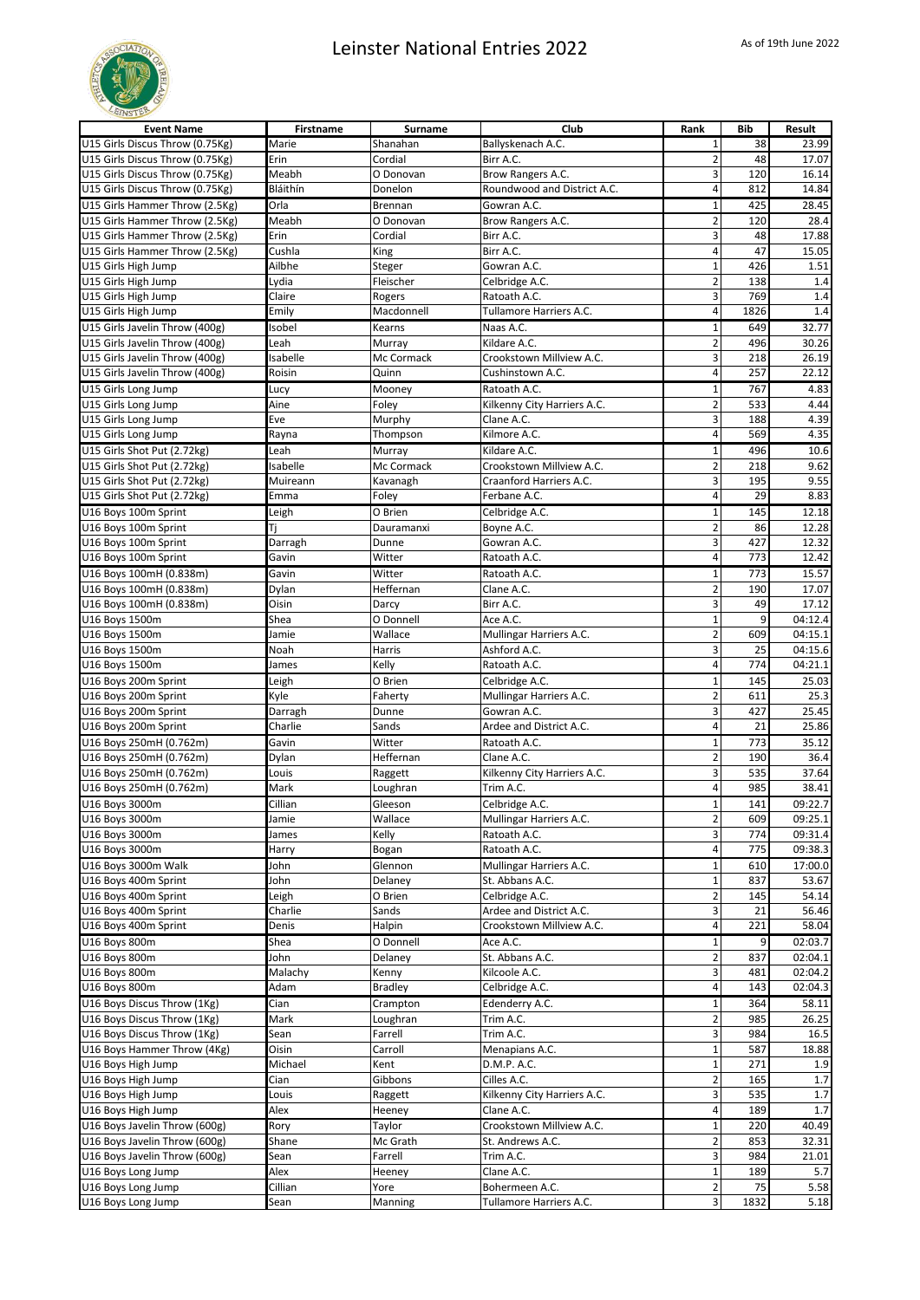

| <b>Event Name</b>                            | Firstname        | Surname              | Club                                      | Rank                    | <b>Bib</b> | Result             |
|----------------------------------------------|------------------|----------------------|-------------------------------------------|-------------------------|------------|--------------------|
| U15 Girls Discus Throw (0.75Kg)              | Marie            | Shanahan             | Ballyskenach A.C.                         | $\mathbf{1}$            | 38         | 23.99              |
| U15 Girls Discus Throw (0.75Kg)              | Erin             | Cordial              | Birr A.C.                                 | $\overline{2}$          | 48         | 17.07              |
| U15 Girls Discus Throw (0.75Kg)              | Meabh            | O Donovan            | Brow Rangers A.C.                         | 3                       | 120        | 16.14              |
| U15 Girls Discus Throw (0.75Kg)              | Bláithín         | Donelon              | Roundwood and District A.C.               | $\overline{4}$          | 812        | 14.84              |
| U15 Girls Hammer Throw (2.5Kg)               | Orla             | Brennan              | Gowran A.C.                               | $\mathbf 1$             | 425        | 28.45              |
| U15 Girls Hammer Throw (2.5Kg)               | Meabh            | O Donovan            | Brow Rangers A.C.                         | $\overline{2}$          | 120        | 28.4               |
| U15 Girls Hammer Throw (2.5Kg)               | Erin             | Cordial              | Birr A.C.                                 | 3                       | 48         | 17.88              |
| U15 Girls Hammer Throw (2.5Kg)               | Cushla           | King                 | Birr A.C.                                 | $\sqrt{4}$              | 47         | 15.05              |
| U15 Girls High Jump                          | Ailbhe           | Steger               | Gowran A.C.                               | $\mathbf 1$             | 426        | 1.51               |
| U15 Girls High Jump                          | Lydia            | Fleischer            | Celbridge A.C.                            | $\overline{2}$          | 138        | 1.4                |
| U15 Girls High Jump                          | Claire           | Rogers               | Ratoath A.C.                              | 3                       | 769        | 1.4                |
| U15 Girls High Jump                          | Emily            | Macdonnell           | Tullamore Harriers A.C.                   | $\overline{4}$          | 1826       | 1.4                |
| U15 Girls Javelin Throw (400g)               | Isobel           | Kearns               | Naas A.C.                                 | $\mathbf 1$             | 649        | 32.77              |
| U15 Girls Javelin Throw (400g)               | Leah             | Murray               | Kildare A.C.                              | $\overline{2}$          | 496        | 30.26              |
| U15 Girls Javelin Throw (400g)               | Isabelle         | Mc Cormack           | Crookstown Millview A.C.                  | 3                       | 218        | 26.19              |
| U15 Girls Javelin Throw (400g)               | Roisin           | Quinn                | Cushinstown A.C.                          | 4                       | 257        | 22.12              |
| U15 Girls Long Jump                          | Lucy             | Mooney               | Ratoath A.C.                              | $1\,$                   | 767        | 4.83               |
| U15 Girls Long Jump                          | Aine             | Foley                | Kilkenny City Harriers A.C.               | $\overline{2}$          | 533        | 4.44               |
| U15 Girls Long Jump                          | Eve              | Murphy               | Clane A.C.                                | 3                       | 188        | 4.39               |
| U15 Girls Long Jump                          | Rayna            | Thompson             | Kilmore A.C.                              | $\overline{\mathbf{4}}$ | 569        | 4.35               |
| U15 Girls Shot Put (2.72kg)                  | Leah             | Murray               | Kildare A.C.                              | $\mathbf 1$             | 496        | 10.6               |
| U15 Girls Shot Put (2.72kg)                  | Isabelle         | Mc Cormack           | Crookstown Millview A.C.                  | $\overline{2}$          | 218        | 9.62               |
| U15 Girls Shot Put (2.72kg)                  | Muireann         | Kavanagh             | Craanford Harriers A.C.                   | 3                       | 195        | 9.55               |
| U15 Girls Shot Put (2.72kg)                  | Emma             | Foley                | Ferbane A.C.                              | $\overline{4}$          | 29         | 8.83               |
| U16 Boys 100m Sprint                         | Leigh            | O Brien              | Celbridge A.C.                            | $\mathbf 1$             | 145        | 12.18              |
| U16 Boys 100m Sprint                         | Τj               | Dauramanxi           | Boyne A.C.                                | $\overline{2}$          | 86         | 12.28              |
| U16 Boys 100m Sprint                         | Darragh          | Dunne                | Gowran A.C.                               | 3                       | 427        | 12.32              |
| U16 Boys 100m Sprint                         | Gavin            | Witter               | Ratoath A.C.                              | $\sqrt{4}$              | 773        | 12.42              |
| U16 Boys 100mH (0.838m)                      | Gavin            | Witter               | Ratoath A.C.                              | $1\,$                   | 773        | 15.57              |
| U16 Boys 100mH (0.838m)                      | Dylan            | Heffernan            | Clane A.C.                                | $\overline{2}$          | 190        | 17.07              |
| U16 Boys 100mH (0.838m)                      | Oisin            | Darcy                | Birr A.C.                                 | 3                       | 49         | 17.12              |
| U16 Boys 1500m                               | Shea             | O Donnell            | Ace A.C.                                  | $\mathbf{1}$            | 9          | 04:12.4            |
| U16 Boys 1500m                               | Jamie            | Wallace              | Mullingar Harriers A.C.                   | $\overline{2}$          | 609        | 04:15.1            |
| U16 Boys 1500m                               | Noah             | Harris               | Ashford A.C.                              | 3                       | 25         | 04:15.6            |
| U16 Boys 1500m                               | James            | Kelly                | Ratoath A.C.                              | $\overline{4}$          | 774        | 04:21.1            |
| U16 Boys 200m Sprint                         | Leigh            | O Brien              | Celbridge A.C.                            | $\mathbf 1$             | 145        | 25.03              |
| U16 Boys 200m Sprint                         | Kyle             | Faherty              | Mullingar Harriers A.C.                   | $\overline{2}$          | 611        | 25.3               |
| U16 Boys 200m Sprint                         | Darragh          | Dunne                | Gowran A.C.<br>Ardee and District A.C.    | 3<br>$\overline{4}$     | 427        | 25.45              |
| U16 Boys 200m Sprint                         | Charlie          | Sands                |                                           |                         | 21         | 25.86              |
| U16 Boys 250mH (0.762m)                      | Gavin            | Witter               | Ratoath A.C.                              | $\mathbf 1$             | 773        | 35.12              |
| U16 Boys 250mH (0.762m)                      | Dylan            | Heffernan            | Clane A.C.                                | $\overline{2}$          | 190        | 36.4               |
| U16 Boys 250mH (0.762m)                      | Louis            | Raggett              | Kilkenny City Harriers A.C.               | 3                       | 535        | 37.64              |
| U16 Boys 250mH (0.762m)                      | Mark             | Loughran             | Trim A.C.                                 | $\overline{4}$          | 985        | 38.41              |
| U16 Boys 3000m                               | Cillian          | Gleeson              | Celbridge A.C.                            | $\mathbf 1$             | 141        | 09:22.7            |
| U16 Boys 3000m                               | Jamie            | Wallace              | Mullingar Harriers A.C.                   | $\overline{2}$<br>3     | 609        | 09:25.1            |
| U16 Boys 3000m<br>U16 Boys 3000m             | James            | Kelly                | Ratoath A.C.<br>Ratoath A.C.              | $\sqrt{4}$              | 774<br>775 | 09:31.4<br>09:38.3 |
|                                              | Harry            | Bogan                |                                           |                         |            |                    |
| U16 Boys 3000m Walk                          | John             | Glennon              | Mullingar Harriers A.C.                   | $\mathbf 1$             | 610        | 17:00.0            |
| U16 Boys 400m Sprint                         | John             | Delaney              | St. Abbans A.C.                           | $\mathbf 1$             | 837        | 53.67              |
| U16 Boys 400m Sprint<br>U16 Boys 400m Sprint | Leigh<br>Charlie | O Brien<br>Sands     | Celbridge A.C.<br>Ardee and District A.C. | $\overline{2}$<br>3     | 145<br>21  | 54.14<br>56.46     |
| U16 Boys 400m Sprint                         | Denis            |                      | Crookstown Millview A.C.                  | 4                       | 221        | 58.04              |
|                                              |                  | Halpin               |                                           | $\mathbf 1$             |            |                    |
| U16 Boys 800m<br>U16 Boys 800m               | Shea<br>John     | O Donnell<br>Delaney | Ace A.C.<br>St. Abbans A.C.               | $\mathbf 2$             | 837        | 02:03.7<br>02:04.1 |
| U16 Boys 800m                                | Malachy          | Kenny                | Kilcoole A.C.                             | 3                       | 481        | 02:04.2            |
| U16 Boys 800m                                | Adam             | <b>Bradley</b>       | Celbridge A.C.                            | $\overline{4}$          | 143        | 02:04.3            |
| U16 Boys Discus Throw (1Kg)                  | Cian             | Crampton             | Edenderry A.C.                            | $\mathbf 1$             | 364        | 58.11              |
| U16 Boys Discus Throw (1Kg)                  | Mark             | Loughran             | Trim A.C.                                 | $\overline{2}$          | 985        | 26.25              |
| U16 Boys Discus Throw (1Kg)                  | Sean             | Farrell              | Trim A.C.                                 | 3                       | 984        | 16.5               |
| U16 Boys Hammer Throw (4Kg)                  | Oisin            | Carroll              | Menapians A.C.                            | $\mathbf 1$             | 587        | 18.88              |
| U16 Boys High Jump                           | Michael          | Kent                 | D.M.P. A.C.                               | $\mathbf 1$             | 271        | 1.9                |
| U16 Boys High Jump                           | Cian             | Gibbons              | Cilles A.C.                               | $\overline{2}$          | 165        | 1.7                |
| U16 Boys High Jump                           | Louis            | Raggett              | Kilkenny City Harriers A.C.               | 3                       | 535        | 1.7                |
| U16 Boys High Jump                           | Alex             | Heeney               | Clane A.C.                                | 4                       | 189        | 1.7                |
| U16 Boys Javelin Throw (600g)                | Rory             | Taylor               | Crookstown Millview A.C.                  | $\mathbf 1$             | 220        | 40.49              |
| U16 Boys Javelin Throw (600g)                | Shane            | Mc Grath             | St. Andrews A.C.                          | $\overline{2}$          | 853        | 32.31              |
| U16 Boys Javelin Throw (600g)                | Sean             | Farrell              | Trim A.C.                                 | 3                       | 984        | 21.01              |
| U16 Boys Long Jump                           | Alex             | Heeney               | Clane A.C.                                | $\mathbf 1$             | 189        | 5.7                |
| U16 Boys Long Jump                           | Cillian          | Yore                 | Bohermeen A.C.                            | $\overline{2}$          | 75         | 5.58               |
| U16 Boys Long Jump                           | Sean             | Manning              | Tullamore Harriers A.C.                   | 3                       | 1832       | 5.18               |
|                                              |                  |                      |                                           |                         |            |                    |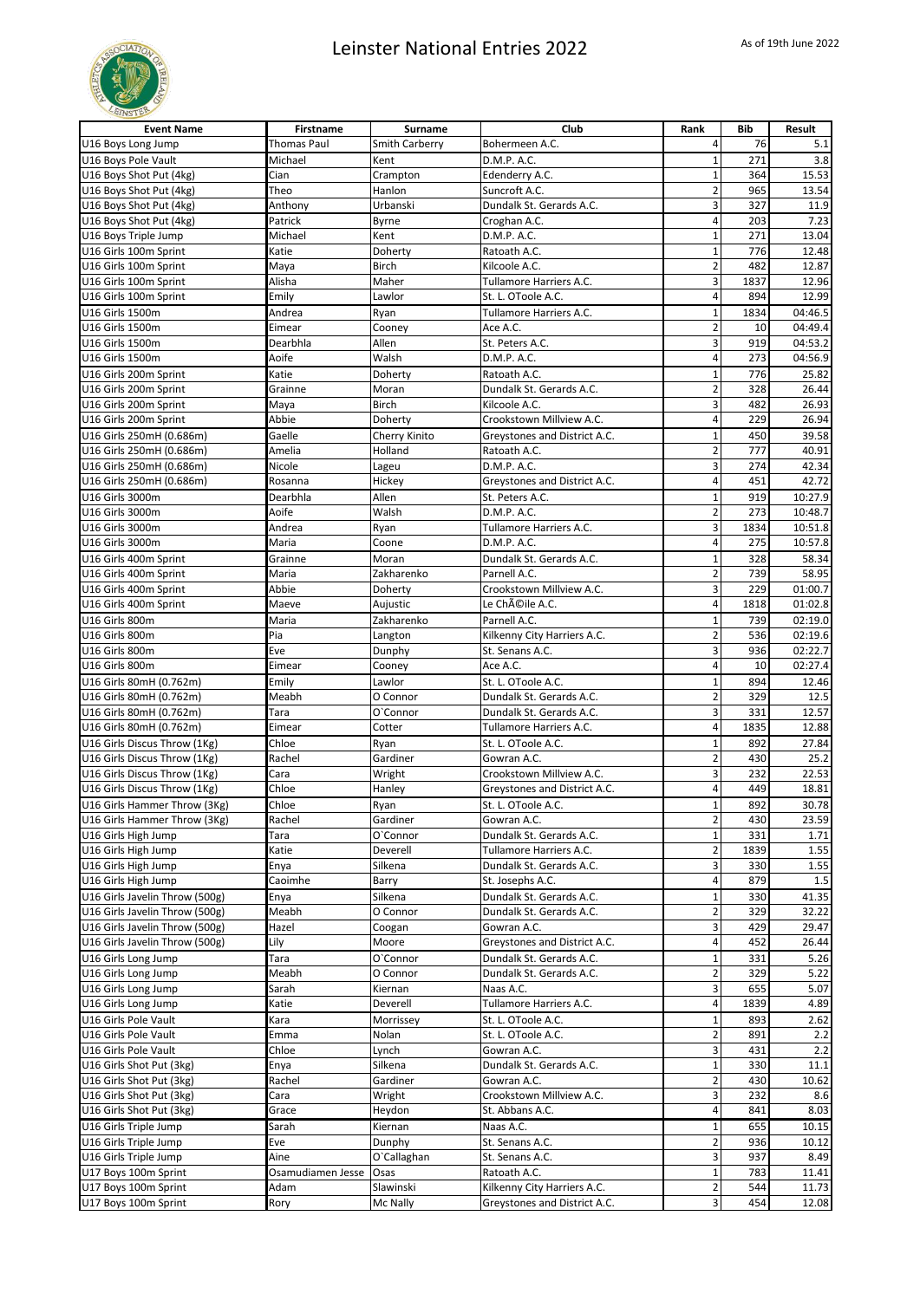

| <b>Event Name</b>                              | <b>Firstname</b>  | Surname               | Club                         | Rank                    | <b>Bib</b> | Result  |
|------------------------------------------------|-------------------|-----------------------|------------------------------|-------------------------|------------|---------|
| U16 Boys Long Jump                             | Thomas Paul       | <b>Smith Carberry</b> | Bohermeen A.C.               | 4                       | 76         | 5.1     |
| U16 Boys Pole Vault                            | Michael           | Kent                  | D.M.P. A.C.                  | $\mathbf{1}$            | 271        | 3.8     |
| U16 Boys Shot Put (4kg)                        | Cian              | Crampton              | Edenderry A.C.               | $\mathbf 1$             | 364        | 15.53   |
| U16 Boys Shot Put (4kg)                        | Theo              | Hanlon                | Suncroft A.C.                | $\overline{a}$          | 965        | 13.54   |
| U16 Boys Shot Put (4kg)                        | Anthony           | Urbanski              | Dundalk St. Gerards A.C.     | 3                       | 327        | 11.9    |
| U16 Boys Shot Put (4kg)                        | Patrick           | Byrne                 | Croghan A.C.                 | 4                       | 203        | 7.23    |
| U16 Boys Triple Jump                           | Michael           | Kent                  | D.M.P. A.C.                  | $\mathbf{1}$            | 271        | 13.04   |
| U16 Girls 100m Sprint                          | Katie             | Doherty               | Ratoath A.C.                 | $\mathbf 1$             | 776        | 12.48   |
| U16 Girls 100m Sprint                          | Maya              | <b>Birch</b>          | Kilcoole A.C.                | $\overline{2}$          | 482        | 12.87   |
| U16 Girls 100m Sprint                          | Alisha            | Maher                 | Tullamore Harriers A.C.      | 3                       | 1837       | 12.96   |
| U16 Girls 100m Sprint                          | Emily             | Lawlor                | St. L. OToole A.C.           | 4                       | 894        | 12.99   |
| U16 Girls 1500m                                | Andrea            | Ryan                  | Tullamore Harriers A.C.      | $\mathbf 1$             | 1834       | 04:46.5 |
| U16 Girls 1500m                                | Eimear            | Cooney                | Ace A.C.                     | $\overline{2}$          | 10         | 04:49.4 |
| U16 Girls 1500m                                | Dearbhla          | Allen                 | St. Peters A.C.              | 3                       | 919        | 04:53.2 |
| U16 Girls 1500m                                | Aoife             | Walsh                 | D.M.P. A.C.                  | 4                       | 273        | 04:56.9 |
| U16 Girls 200m Sprint                          | Katie             | Doherty               | Ratoath A.C.                 | $\mathbf{1}$            | 776        | 25.82   |
| U16 Girls 200m Sprint                          | Grainne           | Moran                 | Dundalk St. Gerards A.C.     | $\overline{\mathbf{c}}$ | 328        | 26.44   |
| U16 Girls 200m Sprint                          | Maya              | Birch                 | Kilcoole A.C.                | 3                       | 482        | 26.93   |
| U16 Girls 200m Sprint                          | Abbie             | Doherty               | Crookstown Millview A.C.     | 4                       | 229        | 26.94   |
| U16 Girls 250mH (0.686m)                       | Gaelle            | Cherry Kinito         | Greystones and District A.C. | $\mathbf 1$             | 450        | 39.58   |
| U16 Girls 250mH (0.686m)                       | Amelia            | Holland               |                              | $\overline{2}$          | 777        | 40.91   |
| U16 Girls 250mH (0.686m)                       | Nicole            |                       | Ratoath A.C.<br>D.M.P. A.C.  | 3                       | 274        | 42.34   |
| U16 Girls 250mH (0.686m)                       |                   | Lageu<br>Hickey       |                              | 4                       | 451        | 42.72   |
|                                                | Rosanna           |                       | Greystones and District A.C. |                         |            |         |
| U16 Girls 3000m                                | Dearbhla          | Allen                 | St. Peters A.C.              | $\mathbf{1}$            | 919        | 10:27.9 |
| U16 Girls 3000m                                | Aoife             | Walsh                 | D.M.P. A.C.                  | $\overline{2}$          | 273        | 10:48.7 |
| U16 Girls 3000m                                | Andrea            | Ryan                  | Tullamore Harriers A.C.      | 3                       | 1834       | 10:51.8 |
| U16 Girls 3000m                                | Maria             | Coone                 | D.M.P. A.C.                  | 4                       | 275        | 10:57.8 |
| U16 Girls 400m Sprint                          | Grainne           | Moran                 | Dundalk St. Gerards A.C.     | $\mathbf 1$             | 328        | 58.34   |
| U16 Girls 400m Sprint                          | Maria             | Zakharenko            | Parnell A.C.                 | $\overline{2}$          | 739        | 58.95   |
| U16 Girls 400m Sprint                          | Abbie             | Doherty               | Crookstown Millview A.C.     | 3                       | 229        | 01:00.7 |
| U16 Girls 400m Sprint                          | Maeve             | Aujustic              | Le Chéile A.C.               | 4                       | 1818       | 01:02.8 |
| U16 Girls 800m                                 | Maria             | Zakharenko            | Parnell A.C.                 | $\mathbf{1}$            | 739        | 02:19.0 |
| U16 Girls 800m                                 | Pia               | Langton               | Kilkenny City Harriers A.C.  | $\overline{2}$          | 536        | 02:19.6 |
| U16 Girls 800m                                 | Eve               | Dunphy                | St. Senans A.C.              | 3                       | 936        | 02:22.7 |
| U16 Girls 800m                                 | Eimear            | Cooney                | Ace A.C.                     | 4                       | 10         | 02:27.4 |
| U16 Girls 80mH (0.762m)                        | Emily             | Lawlor                | St. L. OToole A.C.           | $\overline{1}$          | 894        | 12.46   |
| U16 Girls 80mH (0.762m)                        | Meabh             | O Connor              | Dundalk St. Gerards A.C.     | $\overline{2}$          | 329        | 12.5    |
| U16 Girls 80mH (0.762m)                        | Tara              | O'Connor              | Dundalk St. Gerards A.C.     | 3                       | 331        | 12.57   |
| U16 Girls 80mH (0.762m)                        | Eimear            | Cotter                | Tullamore Harriers A.C.      | $\overline{4}$          | 1835       | 12.88   |
| U16 Girls Discus Throw (1Kg)                   | Chloe             | Ryan                  | St. L. OToole A.C.           | $\mathbf 1$             | 892        | 27.84   |
| U16 Girls Discus Throw (1Kg)                   | Rachel            | Gardiner              | Gowran A.C.                  | $\overline{2}$          | 430        | 25.2    |
| U16 Girls Discus Throw (1Kg)                   | Cara              | Wright                | Crookstown Millview A.C.     | 3                       | 232        | 22.53   |
| U16 Girls Discus Throw (1Kg)                   | Chloe             | Hanley                | Greystones and District A.C. | 4                       | 449        | 18.81   |
| U16 Girls Hammer Throw (3Kg)                   | Chloe             | Ryan                  | St. L. OToole A.C.           | $\mathbf{1}$            | 892        | 30.78   |
| U16 Girls Hammer Throw (3Kg)                   | Rachel            | Gardiner              | Gowran A.C.                  | $\mathbf 2$             | 430        | 23.59   |
| U16 Girls High Jump                            | Tara              | O'Connor              | Dundalk St. Gerards A.C.     | $\mathbf{1}$            | 331        | 1.71    |
| U16 Girls High Jump                            | Katie             | Deverell              | Tullamore Harriers A.C.      | $\mathbf 2$             | 1839       | 1.55    |
| U16 Girls High Jump                            | Enya              | Silkena               | Dundalk St. Gerards A.C.     | 3                       | 330        | 1.55    |
| U16 Girls High Jump                            | Caoimhe           | Barry                 | St. Josephs A.C.             | 4                       | 879        | 1.5     |
| U16 Girls Javelin Throw (500g)                 | Enya              | Silkena               | Dundalk St. Gerards A.C.     | $\mathbf 1$             | 330        | 41.35   |
| U16 Girls Javelin Throw (500g)                 | Meabh             | O Connor              | Dundalk St. Gerards A.C.     | $\overline{\mathbf{c}}$ | 329        | 32.22   |
| U16 Girls Javelin Throw (500g)                 | Hazel             | Coogan                | Gowran A.C.                  | 3                       | 429        | 29.47   |
| U16 Girls Javelin Throw (500g)                 | Lily              | Moore                 | Greystones and District A.C. | 4                       | 452        | 26.44   |
| U16 Girls Long Jump                            | Tara              | O'Connor              | Dundalk St. Gerards A.C.     | $\mathbf 1$             | 331        | 5.26    |
| U16 Girls Long Jump                            | Meabh             | O Connor              | Dundalk St. Gerards A.C.     | $\overline{\mathbf{c}}$ | 329        | 5.22    |
| U16 Girls Long Jump                            | Sarah             | Kiernan               | Naas A.C.                    | 3                       | 655        | 5.07    |
| U16 Girls Long Jump                            | Katie             | Deverell              | Tullamore Harriers A.C.      | 4                       | 1839       | 4.89    |
| U16 Girls Pole Vault                           | Kara              | Morrissey             | St. L. OToole A.C.           | $\mathbf 1$             | 893        | 2.62    |
| U16 Girls Pole Vault                           | Emma              | Nolan                 | St. L. OToole A.C.           | $\overline{\mathbf{c}}$ | 891        | 2.2     |
| U16 Girls Pole Vault                           | Chloe             | Lynch                 | Gowran A.C.                  | 3                       | 431        | 2.2     |
| U16 Girls Shot Put (3kg)                       | Enya              | Silkena               | Dundalk St. Gerards A.C.     | $\mathbf 1$             | 330        | 11.1    |
| U16 Girls Shot Put (3kg)                       | Rachel            | Gardiner              | Gowran A.C.                  | $\overline{2}$          | 430        | 10.62   |
| U16 Girls Shot Put (3kg)                       | Cara              | Wright                | Crookstown Millview A.C.     | 3                       | 232        | 8.6     |
| U16 Girls Shot Put (3kg)                       | Grace             | Heydon                | St. Abbans A.C.              | 4                       | 841        | 8.03    |
|                                                |                   |                       |                              | $\mathbf{1}$            | 655        |         |
| U16 Girls Triple Jump<br>U16 Girls Triple Jump | Sarah<br>Eve      | Kiernan               | Naas A.C.<br>St. Senans A.C. | $\overline{2}$          |            | 10.15   |
|                                                | Aine              | Dunphy                |                              |                         | 936        | 10.12   |
| U16 Girls Triple Jump                          |                   | O'Callaghan           | St. Senans A.C.              | 3<br>$\mathbf 1$        | 937<br>783 | 8.49    |
| U17 Boys 100m Sprint                           | Osamudiamen Jesse | Osas                  | Ratoath A.C.                 |                         |            | 11.41   |
| U17 Boys 100m Sprint                           | Adam              | Slawinski             | Kilkenny City Harriers A.C.  | $\overline{\mathbf{c}}$ | 544        | 11.73   |
| U17 Boys 100m Sprint                           | Rory              | Mc Nally              | Greystones and District A.C. | $\overline{\mathbf{3}}$ | 454        | 12.08   |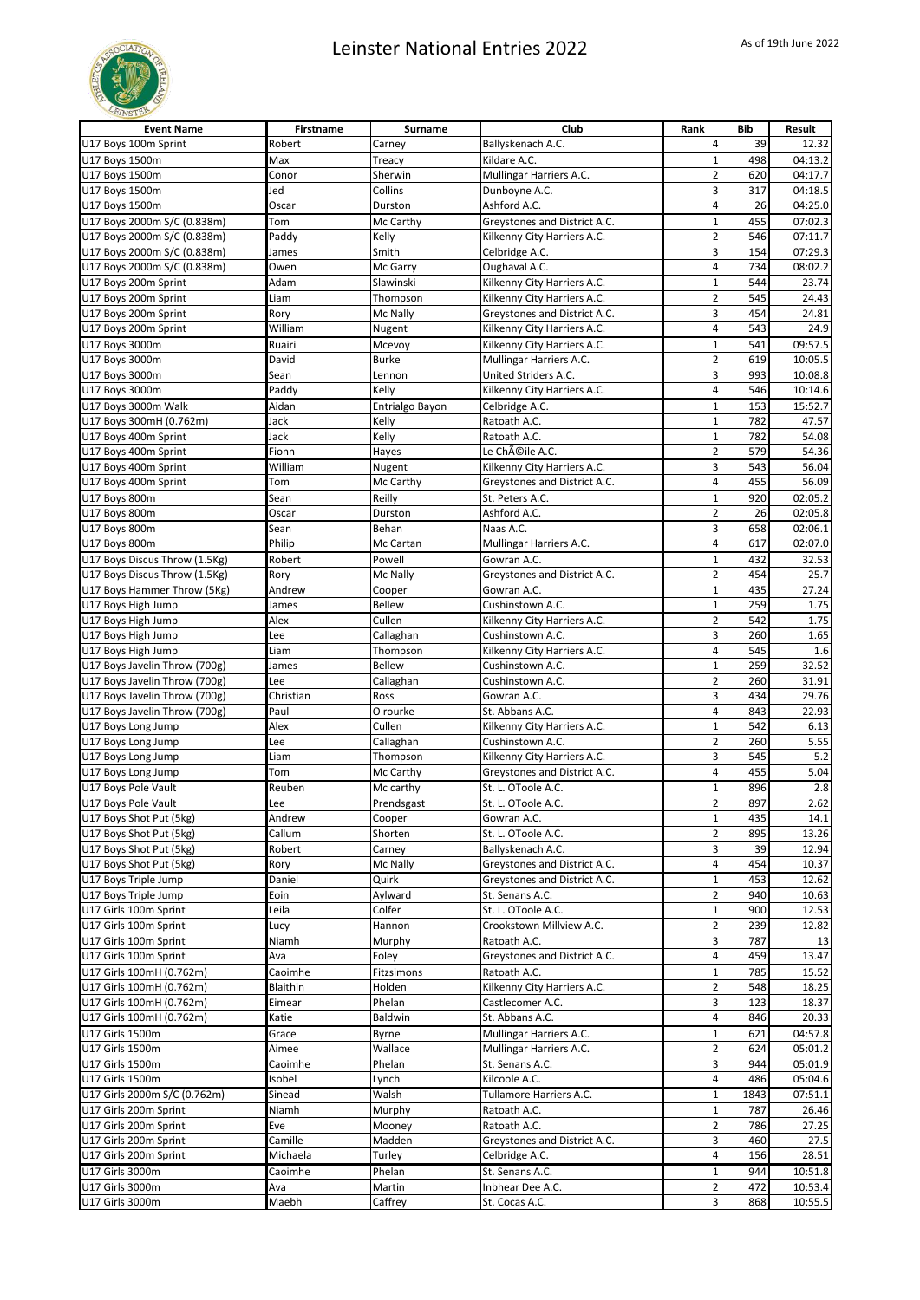

| <b>Event Name</b>             | Firstname | Surname            | Club                         | Rank                    | Bib  | Result  |
|-------------------------------|-----------|--------------------|------------------------------|-------------------------|------|---------|
| U17 Boys 100m Sprint          | Robert    | Carney             | Ballyskenach A.C.            | 4                       | 39   | 12.32   |
| U17 Boys 1500m                | Max       | Treacy             | Kildare A.C.                 | $\mathbf{1}$            | 498  | 04:13.2 |
| U17 Boys 1500m                | Conor     | Sherwin            | Mullingar Harriers A.C.      | $\overline{\mathbf{c}}$ | 620  | 04:17.7 |
| U17 Boys 1500m                | Jed       | Collins            | Dunboyne A.C.                | 3                       | 317  | 04:18.5 |
| U17 Boys 1500m                | Oscar     | Durston            | Ashford A.C.                 | 4                       | 26   | 04:25.0 |
| U17 Boys 2000m S/C (0.838m)   | Tom       | Mc Carthy          | Greystones and District A.C. | 1                       | 455  | 07:02.3 |
| U17 Boys 2000m S/C (0.838m)   | Paddy     | Kelly              | Kilkenny City Harriers A.C.  | $\overline{2}$          | 546  | 07:11.7 |
| U17 Boys 2000m S/C (0.838m)   | James     | Smith              | Celbridge A.C.               | 3                       | 154  | 07:29.3 |
| U17 Boys 2000m S/C (0.838m)   | Owen      | Mc Garry           | Oughaval A.C.                | 4                       | 734  | 08:02.2 |
| U17 Boys 200m Sprint          | Adam      | Slawinski          | Kilkenny City Harriers A.C.  | $\mathbf{1}$            | 544  | 23.74   |
| U17 Boys 200m Sprint          | Liam      | Thompson           | Kilkenny City Harriers A.C.  | $\overline{2}$          | 545  | 24.43   |
| U17 Boys 200m Sprint          | Rory      | Mc Nally           | Greystones and District A.C. | 3                       | 454  | 24.81   |
| U17 Boys 200m Sprint          | William   | Nugent             | Kilkenny City Harriers A.C.  | 4                       | 543  | 24.9    |
| U17 Boys 3000m                | Ruairi    | Mcevoy             | Kilkenny City Harriers A.C.  | $\mathbf{1}$            | 541  | 09:57.5 |
| U17 Boys 3000m                | David     | <b>Burke</b>       | Mullingar Harriers A.C.      | $\overline{2}$          | 619  | 10:05.5 |
| U17 Boys 3000m                | Sean      | Lennon             | United Striders A.C.         | 3                       | 993  | 10:08.8 |
| U17 Boys 3000m                | Paddy     | Kelly              | Kilkenny City Harriers A.C.  | 4                       | 546  | 10:14.6 |
|                               |           |                    |                              |                         |      |         |
| U17 Boys 3000m Walk           | Aidan     | Entrialgo Bayon    | Celbridge A.C.               | $\mathbf{1}$            | 153  | 15:52.7 |
| U17 Boys 300mH (0.762m)       | Jack      | Kelly              | Ratoath A.C.                 | $\overline{1}$          | 782  | 47.57   |
| U17 Boys 400m Sprint          | Jack      | Kelly              | Ratoath A.C.                 | $\mathbf{1}$            | 782  | 54.08   |
| U17 Boys 400m Sprint          | Fionn     | Hayes              | Le Chéile A.C.               | $\overline{2}$          | 579  | 54.36   |
| U17 Boys 400m Sprint          | William   | Nugent             | Kilkenny City Harriers A.C.  | 3                       | 543  | 56.04   |
| U17 Boys 400m Sprint          | Tom       | Mc Carthy          | Greystones and District A.C. | 4                       | 455  | 56.09   |
| U17 Boys 800m                 | Sean      | Reilly             | St. Peters A.C.              | $\mathbf 1$             | 920  | 02:05.2 |
| U17 Boys 800m                 | Oscar     | Durston            | Ashford A.C.                 | $\overline{2}$          | 26   | 02:05.8 |
| U17 Boys 800m                 | Sean      | Behan              | Naas A.C.                    | 3                       | 658  | 02:06.1 |
| U17 Boys 800m                 | Philip    | Mc Cartan          | Mullingar Harriers A.C.      | 4                       | 617  | 02:07.0 |
| U17 Boys Discus Throw (1.5Kg) | Robert    | Powell             | Gowran A.C.                  | $\mathbf{1}$            | 432  | 32.53   |
| U17 Boys Discus Throw (1.5Kg) | Rory      | Mc Nally           | Greystones and District A.C. | $\overline{2}$          | 454  | 25.7    |
| U17 Boys Hammer Throw (5Kg)   | Andrew    | Cooper             | Gowran A.C.                  | $\mathbf{1}$            | 435  | 27.24   |
| U17 Boys High Jump            | James     | <b>Bellew</b>      | Cushinstown A.C.             | $\mathbf 1$             | 259  | 1.75    |
| U17 Boys High Jump            | Alex      | Cullen             | Kilkenny City Harriers A.C.  | $\overline{\mathbf{c}}$ | 542  | 1.75    |
| U17 Boys High Jump            | Lee       | Callaghan          | Cushinstown A.C.             | 3                       | 260  | 1.65    |
| U17 Boys High Jump            | Liam      | Thompson           | Kilkenny City Harriers A.C.  | 4                       | 545  | 1.6     |
| U17 Boys Javelin Throw (700g) | James     | <b>Bellew</b>      | Cushinstown A.C.             | $\mathbf 1$             | 259  | 32.52   |
| U17 Boys Javelin Throw (700g) | Lee       | Callaghan          | Cushinstown A.C.             | $\overline{2}$          | 260  | 31.91   |
| U17 Boys Javelin Throw (700g) | Christian | Ross               | Gowran A.C.                  | 3                       | 434  | 29.76   |
| U17 Boys Javelin Throw (700g) | Paul      | O rourke           | St. Abbans A.C.              | 4                       | 843  | 22.93   |
| U17 Boys Long Jump            | Alex      | Cullen             | Kilkenny City Harriers A.C.  | $\mathbf{1}$            | 542  | 6.13    |
| U17 Boys Long Jump            | Lee       | Callaghan          | Cushinstown A.C.             | $\overline{2}$          | 260  | 5.55    |
| U17 Boys Long Jump            | Liam      | Thompson           | Kilkenny City Harriers A.C.  | 3                       | 545  | 5.2     |
| U17 Boys Long Jump            | Tom       | Mc Carthy          | Greystones and District A.C. | 4                       | 455  | 5.04    |
| U17 Boys Pole Vault           | Reuben    | Mc carthy          | St. L. OToole A.C.           | $\mathbf 1$             | 896  | 2.8     |
| U17 Boys Pole Vault           | Lee       | Prendsgast         | St. L. OToole A.C.           | $\overline{2}$          | 897  | 2.62    |
| U17 Boys Shot Put (5kg)       | Andrew    | Cooper             | Gowran A.C.                  | $\mathbf 1$             | 435  | 14.1    |
| U17 Boys Shot Put (5kg)       | Callum    | Shorten            | St. L. OToole A.C.           | $\overline{\mathbf{c}}$ | 895  | 13.26   |
| U17 Boys Shot Put (5kg)       | Robert    |                    | Ballyskenach A.C.            | 3                       | 39   | 12.94   |
| U17 Boys Shot Put (5kg)       |           | Carney<br>Mc Nally | Greystones and District A.C. | 4                       | 454  |         |
|                               | Rory      |                    |                              |                         |      | 10.37   |
| U17 Boys Triple Jump          | Daniel    | Quirk              | Greystones and District A.C. | $\mathbf 1$             | 453  | 12.62   |
| U17 Boys Triple Jump          | Eoin      | Aylward            | St. Senans A.C.              | $\overline{\mathbf{c}}$ | 940  | 10.63   |
| U17 Girls 100m Sprint         | Leila     | Colfer             | St. L. OToole A.C.           | $\mathbf 1$             | 900  | 12.53   |
| U17 Girls 100m Sprint         | Lucy      | Hannon             | Crookstown Millview A.C.     | 2                       | 239  | 12.82   |
| U17 Girls 100m Sprint         | Niamh     | Murphy             | Ratoath A.C.                 | 3                       | 787  | 13      |
| U17 Girls 100m Sprint         | Ava       | Foley              | Greystones and District A.C. | 4                       | 459  | 13.47   |
| U17 Girls 100mH (0.762m)      | Caoimhe   | Fitzsimons         | Ratoath A.C.                 | $\mathbf{1}$            | 785  | 15.52   |
| U17 Girls 100mH (0.762m)      | Blaithin  | Holden             | Kilkenny City Harriers A.C.  | $\overline{2}$          | 548  | 18.25   |
| U17 Girls 100mH (0.762m)      | Eimear    | Phelan             | Castlecomer A.C.             | 3                       | 123  | 18.37   |
| U17 Girls 100mH (0.762m)      | Katie     | Baldwin            | St. Abbans A.C.              | 4                       | 846  | 20.33   |
| U17 Girls 1500m               | Grace     | Byrne              | Mullingar Harriers A.C.      | $\mathbf 1$             | 621  | 04:57.8 |
| U17 Girls 1500m               | Aimee     | Wallace            | Mullingar Harriers A.C.      | $\overline{2}$          | 624  | 05:01.2 |
| U17 Girls 1500m               | Caoimhe   | Phelan             | St. Senans A.C.              | 3                       | 944  | 05:01.9 |
| U17 Girls 1500m               | Isobel    | Lynch              | Kilcoole A.C.                | 4                       | 486  | 05:04.6 |
| U17 Girls 2000m S/C (0.762m)  | Sinead    | Walsh              | Tullamore Harriers A.C.      | $\mathbf 1$             | 1843 | 07:51.1 |
| U17 Girls 200m Sprint         | Niamh     | Murphy             | Ratoath A.C.                 | $\mathbf 1$             | 787  | 26.46   |
| U17 Girls 200m Sprint         | Eve       | Mooney             | Ratoath A.C.                 | $\overline{\mathbf{c}}$ | 786  | 27.25   |
| U17 Girls 200m Sprint         | Camille   | Madden             | Greystones and District A.C. | 3                       | 460  | 27.5    |
| U17 Girls 200m Sprint         | Michaela  | Turley             | Celbridge A.C.               | 4                       | 156  | 28.51   |
| U17 Girls 3000m               | Caoimhe   | Phelan             | St. Senans A.C.              | $\mathbf 1$             | 944  | 10:51.8 |
| U17 Girls 3000m               | Ava       | Martin             | Inbhear Dee A.C.             | $\overline{2}$          | 472  | 10:53.4 |
| U17 Girls 3000m               | Maebh     | Caffrey            | St. Cocas A.C.               | 3                       | 868  | 10:55.5 |
|                               |           |                    |                              |                         |      |         |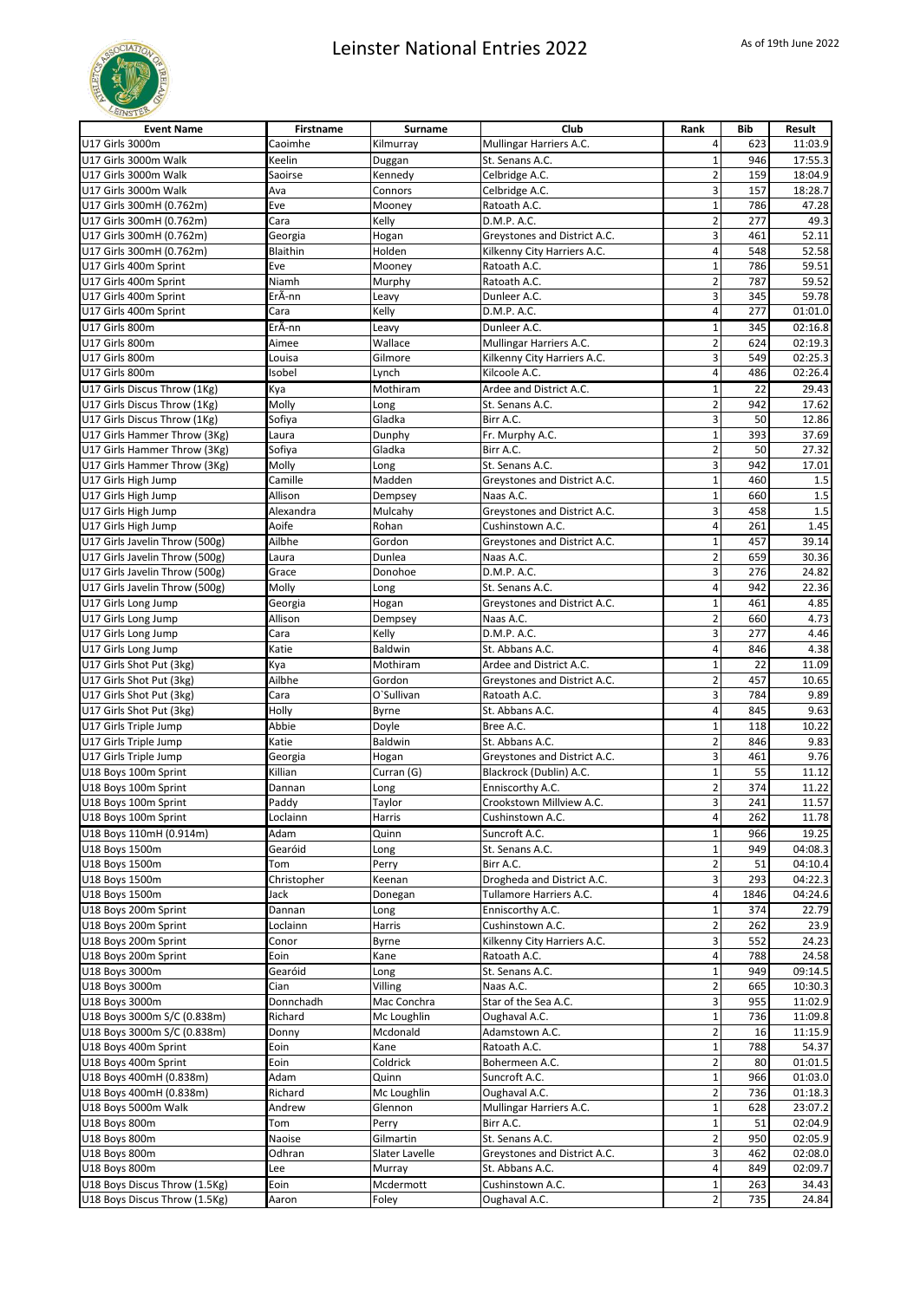

| <b>Event Name</b>              | <b>Firstname</b> | Surname        | Club                         | Rank                    | <b>Bib</b> | Result  |
|--------------------------------|------------------|----------------|------------------------------|-------------------------|------------|---------|
| U17 Girls 3000m                | Caoimhe          | Kilmurray      | Mullingar Harriers A.C.      | 4                       | 623        | 11:03.9 |
| U17 Girls 3000m Walk           | Keelin           | Duggan         | St. Senans A.C.              | $\mathbf 1$             | 946        | 17:55.3 |
| U17 Girls 3000m Walk           | Saoirse          | Kennedy        | Celbridge A.C.               | $\overline{2}$          | 159        | 18:04.9 |
| U17 Girls 3000m Walk           | Ava              | Connors        | Celbridge A.C.               | 3                       | 157        | 18:28.7 |
| U17 Girls 300mH (0.762m)       | Eve              | Mooney         | Ratoath A.C.                 | $\mathbf{1}$            | 786        | 47.28   |
| U17 Girls 300mH (0.762m)       | Cara             | Kelly          | D.M.P. A.C.                  | $\overline{2}$          | 277        | 49.3    |
| U17 Girls 300mH (0.762m)       | Georgia          | Hogan          | Greystones and District A.C. | 3                       | 461        | 52.11   |
| U17 Girls 300mH (0.762m)       | Blaithin         | Holden         | Kilkenny City Harriers A.C.  | 4                       | 548        | 52.58   |
| U17 Girls 400m Sprint          | Eve              | Mooney         | Ratoath A.C.                 | $\mathbf{1}$            | 786        | 59.51   |
| U17 Girls 400m Sprint          | Niamh            | Murphy         | Ratoath A.C.                 | $\overline{2}$          | 787        | 59.52   |
| U17 Girls 400m Sprint          | ErÃ-nn           | Leavy          | Dunleer A.C.                 | 3                       | 345        | 59.78   |
| U17 Girls 400m Sprint          | Cara             | Kelly          | D.M.P. A.C.                  | 4                       | 277        | 01:01.0 |
| U17 Girls 800m                 | ErÃ-nn           | Leavy          | Dunleer A.C.                 | $\mathbf 1$             | 345        | 02:16.8 |
| U17 Girls 800m                 | Aimee            | Wallace        | Mullingar Harriers A.C.      | $\overline{2}$          | 624        | 02:19.3 |
| U17 Girls 800m                 | Louisa           | Gilmore        | Kilkenny City Harriers A.C.  | 3                       | 549        | 02:25.3 |
| U17 Girls 800m                 | Isobel           | Lynch          | Kilcoole A.C.                | 4                       | 486        | 02:26.4 |
| U17 Girls Discus Throw (1Kg)   | Kya              | Mothiram       | Ardee and District A.C.      | $\mathbf 1$             | 22         | 29.43   |
| U17 Girls Discus Throw (1Kg)   | Molly            | Long           | St. Senans A.C.              | $\overline{2}$          | 942        | 17.62   |
| U17 Girls Discus Throw (1Kg)   | Sofiya           | Gladka         | Birr A.C.                    | 3                       | 50         | 12.86   |
| U17 Girls Hammer Throw (3Kg)   | Laura            | Dunphy         | Fr. Murphy A.C.              | $\mathbf 1$             | 393        | 37.69   |
| U17 Girls Hammer Throw (3Kg)   | Sofiya           | Gladka         | Birr A.C.                    | $\overline{2}$          | 50         | 27.32   |
| U17 Girls Hammer Throw (3Kg)   | Molly            | Long           | St. Senans A.C.              | 3                       | 942        | 17.01   |
| U17 Girls High Jump            | Camille          | Madden         | Greystones and District A.C. | $\mathbf 1$             | 460        | 1.5     |
| U17 Girls High Jump            | Allison          | Dempsey        | Naas A.C.                    | $\mathbf{1}$            | 660        | 1.5     |
| U17 Girls High Jump            | Alexandra        | Mulcahy        | Greystones and District A.C. | 3                       | 458        | 1.5     |
| U17 Girls High Jump            | Aoife            | Rohan          | Cushinstown A.C.             | 4                       | 261        | 1.45    |
| U17 Girls Javelin Throw (500g) | Ailbhe           | Gordon         | Greystones and District A.C. | $\mathbf 1$             | 457        | 39.14   |
| U17 Girls Javelin Throw (500g) | Laura            | Dunlea         | Naas A.C.                    | $\overline{2}$          | 659        | 30.36   |
| U17 Girls Javelin Throw (500g) | Grace            | Donohoe        | D.M.P. A.C.                  | 3                       | 276        | 24.82   |
| U17 Girls Javelin Throw (500g) | Molly            | Long           | St. Senans A.C.              | 4                       | 942        | 22.36   |
| U17 Girls Long Jump            | Georgia          | Hogan          | Greystones and District A.C. | $\mathbf 1$             | 461        | 4.85    |
| U17 Girls Long Jump            | Allison          | Dempsey        | Naas A.C.                    | $\overline{2}$          | 660        | 4.73    |
| U17 Girls Long Jump            | Cara             | Kelly          | D.M.P. A.C.                  | 3                       | 277        | 4.46    |
| U17 Girls Long Jump            | Katie            | Baldwin        | St. Abbans A.C.              | 4                       | 846        | 4.38    |
| U17 Girls Shot Put (3kg)       | Kya              | Mothiram       | Ardee and District A.C.      | $\mathbf 1$             | 22         | 11.09   |
| U17 Girls Shot Put (3kg)       | Ailbhe           | Gordon         | Greystones and District A.C. | $\overline{2}$          | 457        | 10.65   |
| U17 Girls Shot Put (3kg)       | Cara             | O`Sullivan     | Ratoath A.C.                 | 3                       | 784        | 9.89    |
| U17 Girls Shot Put (3kg)       | Holly            | Byrne          | St. Abbans A.C.              | 4                       | 845        | 9.63    |
| U17 Girls Triple Jump          | Abbie            | Doyle          | Bree A.C.                    | $\mathbf 1$             | 118        | 10.22   |
| U17 Girls Triple Jump          | Katie            | Baldwin        | St. Abbans A.C.              | $\overline{\mathbf{c}}$ | 846        | 9.83    |
| U17 Girls Triple Jump          | Georgia          | Hogan          | Greystones and District A.C. | 3                       | 461        | 9.76    |
| U18 Boys 100m Sprint           | Killian          | Curran (G)     | Blackrock (Dublin) A.C.      | $\mathbf 1$             | 55         | 11.12   |
| U18 Boys 100m Sprint           | Dannan           | Long           | Enniscorthy A.C.             | $\overline{2}$          | 374        | 11.22   |
| U18 Boys 100m Sprint           | Paddy            | Taylor         | Crookstown Millview A.C.     | 3                       | 241        | 11.57   |
| U18 Boys 100m Sprint           | Loclainn         | Harris         | Cushinstown A.C.             | $\overline{4}$          | 262        | 11.78   |
| U18 Boys 110mH (0.914m)        | Adam             | Quinn          | Suncroft A.C.                | $\mathbf 1$             | 966        | 19.25   |
| U18 Boys 1500m                 | Gearóid          | Long           | St. Senans A.C.              | $\mathbf 1$             | 949        | 04:08.3 |
| U18 Boys 1500m                 | Tom              | Perry          | Birr A.C.                    | $\overline{\mathbf{c}}$ | 51         | 04:10.4 |
| U18 Boys 1500m                 | Christopher      | Keenan         | Drogheda and District A.C.   | $\overline{\mathbf{3}}$ | 293        | 04:22.3 |
| U18 Boys 1500m                 | Jack             | Donegan        | Tullamore Harriers A.C.      | 4                       | 1846       | 04:24.6 |
| U18 Boys 200m Sprint           | Dannan           | Long           | Enniscorthy A.C.             | $\mathbf 1$             | 374        | 22.79   |
| U18 Boys 200m Sprint           | Loclainn         | Harris         | Cushinstown A.C.             | $\overline{2}$          | 262        | 23.9    |
| U18 Boys 200m Sprint           | Conor            | Byrne          | Kilkenny City Harriers A.C.  | 3                       | 552        | 24.23   |
| U18 Boys 200m Sprint           | Eoin             | Kane           | Ratoath A.C.                 | 4                       | 788        | 24.58   |
| U18 Boys 3000m                 | Gearóid          | Long           | St. Senans A.C.              | $\mathbf 1$             | 949        | 09:14.5 |
| U18 Boys 3000m                 | Cian             | Villing        | Naas A.C.                    | $\overline{2}$          | 665        | 10:30.3 |
| U18 Boys 3000m                 | Donnchadh        | Mac Conchra    | Star of the Sea A.C.         | 3                       | 955        | 11:02.9 |
| U18 Boys 3000m S/C (0.838m)    | Richard          | Mc Loughlin    | Oughaval A.C.                | $\mathbf 1$             | 736        | 11:09.8 |
| U18 Boys 3000m S/C (0.838m)    | Donny            | Mcdonald       | Adamstown A.C.               | $\overline{2}$          | 16         | 11:15.9 |
| U18 Boys 400m Sprint           | Eoin             | Kane           | Ratoath A.C.                 | $\mathbf 1$             | 788        | 54.37   |
| U18 Boys 400m Sprint           | Eoin             | Coldrick       | Bohermeen A.C.               | $\overline{2}$          | 80         | 01:01.5 |
| U18 Boys 400mH (0.838m)        | Adam             | Quinn          | Suncroft A.C.                | $\mathbf 1$             | 966        | 01:03.0 |
| U18 Boys 400mH (0.838m)        | Richard          | Mc Loughlin    | Oughaval A.C.                | 2                       | 736        | 01:18.3 |
| U18 Boys 5000m Walk            | Andrew           | Glennon        | Mullingar Harriers A.C.      | $\mathbf 1$             | 628        | 23:07.2 |
| U18 Boys 800m                  | Tom              | Perry          | Birr A.C.                    | $\mathbf 1$             | 51         | 02:04.9 |
| U18 Boys 800m                  | Naoise           | Gilmartin      | St. Senans A.C.              | $\overline{2}$          | 950        | 02:05.9 |
| U18 Boys 800m                  | Odhran           | Slater Lavelle | Greystones and District A.C. | 3                       | 462        | 02:08.0 |
| U18 Boys 800m                  | Lee              | Murray         | St. Abbans A.C.              | 4                       | 849        | 02:09.7 |
| U18 Boys Discus Throw (1.5Kg)  | Eoin             | Mcdermott      | Cushinstown A.C.             | 1                       | 263        | 34.43   |
| U18 Boys Discus Throw (1.5Kg)  | Aaron            | Foley          | Oughaval A.C.                | $\overline{2}$          | 735        | 24.84   |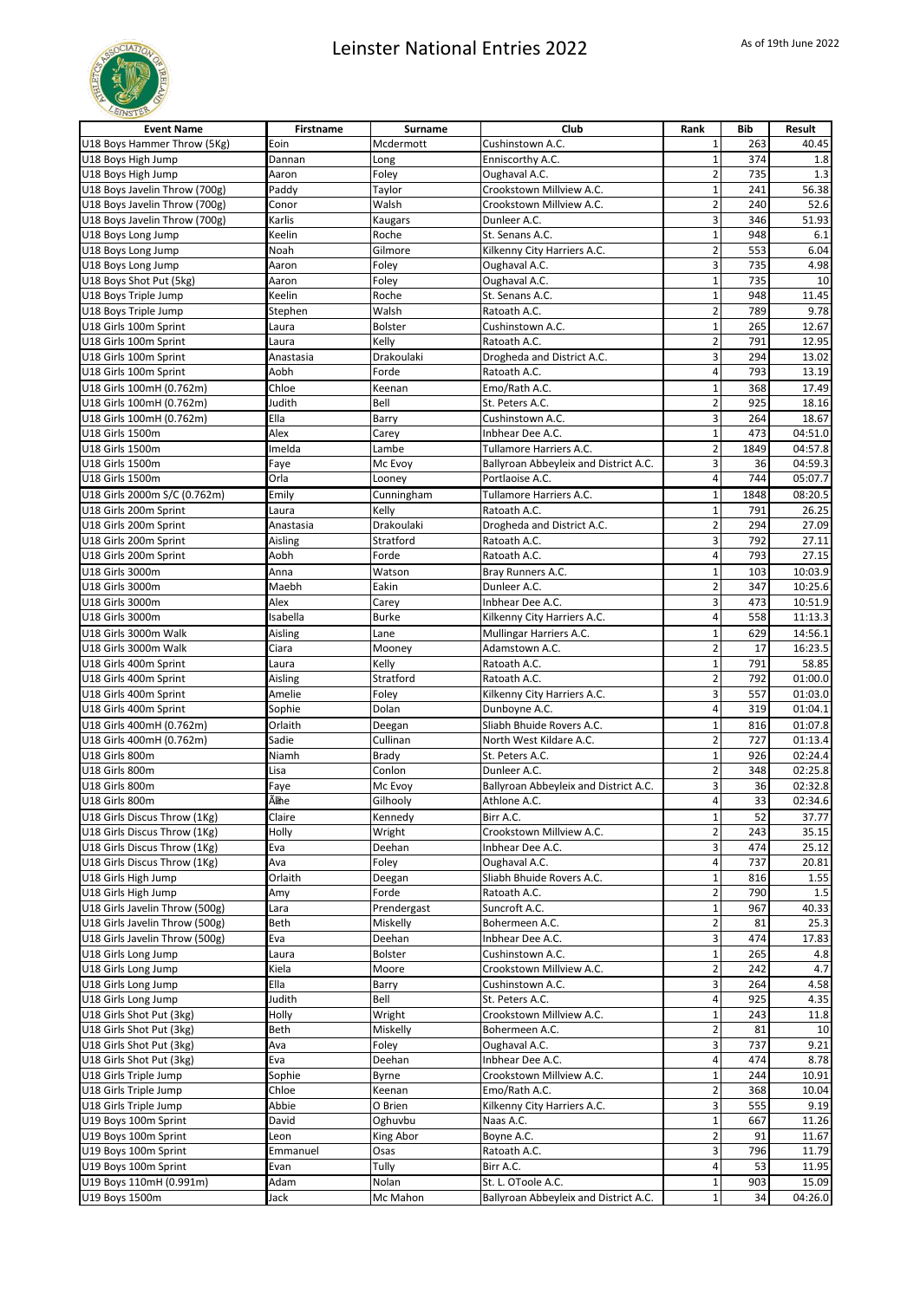

| <b>Event Name</b>              | <b>Firstname</b> | Surname        | Club                                  | Rank                    | <b>Bib</b> | Result  |
|--------------------------------|------------------|----------------|---------------------------------------|-------------------------|------------|---------|
| U18 Boys Hammer Throw (5Kg)    | Eoin             | Mcdermott      | Cushinstown A.C.                      | $\mathbf{1}$            | 263        | 40.45   |
| U18 Boys High Jump             | Dannan           | Long           | Enniscorthy A.C.                      | $\mathbf 1$             | 374        | 1.8     |
| U18 Boys High Jump             | Aaron            | Foley          | Oughaval A.C.                         | $\overline{2}$          | 735        | 1.3     |
| U18 Boys Javelin Throw (700g)  | Paddy            | Taylor         | Crookstown Millview A.C.              | $\mathbf 1$             | 241        | 56.38   |
| U18 Boys Javelin Throw (700g)  | Conor            | Walsh          | Crookstown Millview A.C.              | $\overline{2}$          | 240        | 52.6    |
| U18 Boys Javelin Throw (700g)  | Karlis           | Kaugars        | Dunleer A.C.                          | 3                       | 346        | 51.93   |
| U18 Boys Long Jump             | Keelin           | Roche          | St. Senans A.C.                       | $\mathbf{1}$            | 948        | 6.1     |
| U18 Boys Long Jump             | Noah             | Gilmore        | Kilkenny City Harriers A.C.           | $\overline{\mathbf{c}}$ | 553        | 6.04    |
| U18 Boys Long Jump             | Aaron            | Foley          | Oughaval A.C.                         | 3                       | 735        | 4.98    |
| U18 Boys Shot Put (5kg)        | Aaron            | Foley          | Oughaval A.C.                         | $\mathbf{1}$            | 735        | 10      |
| U18 Boys Triple Jump           | Keelin           | Roche          | St. Senans A.C.                       | $\mathbf 1$             | 948        | 11.45   |
| U18 Boys Triple Jump           | Stephen          | Walsh          | Ratoath A.C.                          | $\overline{2}$          | 789        | 9.78    |
| U18 Girls 100m Sprint          | Laura            | <b>Bolster</b> | Cushinstown A.C.                      | $\mathbf 1$             | 265        | 12.67   |
| U18 Girls 100m Sprint          | Laura            | Kelly          | Ratoath A.C.                          | $\overline{2}$          | 791        | 12.95   |
| U18 Girls 100m Sprint          | Anastasia        | Drakoulaki     | Drogheda and District A.C.            | 3                       | 294        | 13.02   |
| U18 Girls 100m Sprint          | Aobh             | Forde          | Ratoath A.C.                          | 4                       | 793        | 13.19   |
| U18 Girls 100mH (0.762m)       | Chloe            | Keenan         | Emo/Rath A.C.                         | $\mathbf 1$             | 368        | 17.49   |
| U18 Girls 100mH (0.762m)       | Judith           | Bell           | St. Peters A.C.                       | $\overline{2}$          | 925        | 18.16   |
| U18 Girls 100mH (0.762m)       | Ella             | Barry          | Cushinstown A.C.                      | 3                       | 264        | 18.67   |
| U18 Girls 1500m                | Alex             | Carey          | Inbhear Dee A.C.                      | $\mathbf 1$             | 473        | 04:51.0 |
| U18 Girls 1500m                | Imelda           | Lambe          | Tullamore Harriers A.C.               | $\overline{c}$          | 1849       | 04:57.8 |
| U18 Girls 1500m                | Faye             | Mc Evoy        | Ballyroan Abbeyleix and District A.C. | 3                       | 36         | 04:59.3 |
| U18 Girls 1500m                | Orla             | Looney         | Portlaoise A.C.                       | $\overline{4}$          | 744        | 05:07.7 |
| U18 Girls 2000m S/C (0.762m)   | Emily            | Cunningham     | Tullamore Harriers A.C.               | $\mathbf 1$             | 1848       | 08:20.5 |
| U18 Girls 200m Sprint          | Laura            | Kelly          | Ratoath A.C.                          | $\mathbf 1$             | 791        | 26.25   |
| U18 Girls 200m Sprint          | Anastasia        | Drakoulaki     | Drogheda and District A.C.            | $\overline{2}$          | 294        | 27.09   |
| U18 Girls 200m Sprint          | Aisling          | Stratford      | Ratoath A.C.                          | 3                       | 792        | 27.11   |
| U18 Girls 200m Sprint          | Aobh             | Forde          | Ratoath A.C.                          | 4                       | 793        | 27.15   |
| U18 Girls 3000m                | Anna             | Watson         | Bray Runners A.C.                     | $\mathbf{1}$            | 103        | 10:03.9 |
| U18 Girls 3000m                | Maebh            | Eakin          | Dunleer A.C.                          | $\overline{2}$          | 347        | 10:25.6 |
| U18 Girls 3000m                | Alex             | Carey          | Inbhear Dee A.C.                      | 3                       | 473        | 10:51.9 |
| U18 Girls 3000m                | Isabella         | <b>Burke</b>   | Kilkenny City Harriers A.C.           | 4                       | 558        | 11:13.3 |
| U18 Girls 3000m Walk           | Aisling          | Lane           | Mullingar Harriers A.C.               | $\mathbf 1$             | 629        | 14:56.1 |
| U18 Girls 3000m Walk           | Ciara            | Mooney         | Adamstown A.C.                        | $\overline{2}$          | 17         | 16:23.5 |
| U18 Girls 400m Sprint          | Laura            | Kelly          | Ratoath A.C.                          | $\mathbf{1}$            | 791        | 58.85   |
| U18 Girls 400m Sprint          | Aisling          | Stratford      | Ratoath A.C.                          | $\overline{2}$          | 792        | 01:00.0 |
| U18 Girls 400m Sprint          | Amelie           | Foley          | Kilkenny City Harriers A.C.           | 3                       | 557        | 01:03.0 |
| U18 Girls 400m Sprint          | Sophie           | Dolan          | Dunboyne A.C.                         | 4                       | 319        | 01:04.1 |
| U18 Girls 400mH (0.762m)       | Orlaith          | Deegan         | Sliabh Bhuide Rovers A.C.             | $\mathbf{1}$            | 816        | 01:07.8 |
| U18 Girls 400mH (0.762m)       | Sadie            | Cullinan       | North West Kildare A.C.               | $\overline{2}$          | 727        | 01:13.4 |
| U18 Girls 800m                 | Niamh            | Brady          | St. Peters A.C.                       | $\overline{1}$          | 926        | 02:24.4 |
| U18 Girls 800m                 | Lisa             | Conlon         | Dunleer A.C.                          | $\overline{2}$          | 348        | 02:25.8 |
| U18 Girls 800m                 | Faye             | Mc Evoy        | Ballyroan Abbeyleix and District A.C. | 3                       | 36         | 02:32.8 |
| U18 Girls 800m                 | Ãme              | Gilhooly       | Athlone A.C.                          | 4                       | 33         | 02:34.6 |
| U18 Girls Discus Throw (1Kg)   | Claire           | Kennedy        | Birr A.C.                             | $\mathbf{1}$            | 52         | 37.77   |
| U18 Girls Discus Throw (1Kg)   | Holly            | Wright         | Crookstown Millview A.C.              | $\overline{\mathbf{c}}$ | 243        | 35.15   |
| U18 Girls Discus Throw (1Kg)   | Eva              | Deehan         | Inbhear Dee A.C.                      | 3                       | 474        | 25.12   |
| U18 Girls Discus Throw (1Kg)   | Ava              | Foley          | Oughaval A.C.                         | 4                       | 737        | 20.81   |
| U18 Girls High Jump            | Orlaith          | Deegan         | Sliabh Bhuide Rovers A.C.             | $\mathbf 1$             | 816        | 1.55    |
| U18 Girls High Jump            | Amy              | Forde          | Ratoath A.C.                          | $\overline{2}$          | 790        | 1.5     |
| U18 Girls Javelin Throw (500g) | Lara             | Prendergast    | Suncroft A.C.                         | $\mathbf 1$             | 967        | 40.33   |
| U18 Girls Javelin Throw (500g) | Beth             | Miskelly       | Bohermeen A.C.                        | $\overline{\mathbf{c}}$ | 81         | 25.3    |
| U18 Girls Javelin Throw (500g) | Eva              | Deehan         | Inbhear Dee A.C.                      | 3                       | 474        | 17.83   |
| U18 Girls Long Jump            | Laura            | Bolster        | Cushinstown A.C.                      | $\mathbf 1$             | 265        | 4.8     |
| U18 Girls Long Jump            | Kiela            | Moore          | Crookstown Millview A.C.              | $\overline{2}$          | 242        | 4.7     |
| U18 Girls Long Jump            | Ella             | Barry          | Cushinstown A.C.                      | 3                       | 264        | 4.58    |
| U18 Girls Long Jump            | Judith           | Bell           | St. Peters A.C.                       | 4                       | 925        | 4.35    |
| U18 Girls Shot Put (3kg)       | Holly            | Wright         | Crookstown Millview A.C.              | $\mathbf{1}$            | 243        | 11.8    |
| U18 Girls Shot Put (3kg)       | Beth             | Miskelly       | Bohermeen A.C.                        | $\overline{2}$          | 81         | 10      |
| U18 Girls Shot Put (3kg)       | Ava              | Foley          | Oughaval A.C.                         | 3                       | 737        | 9.21    |
| U18 Girls Shot Put (3kg)       | Eva              | Deehan         | Inbhear Dee A.C.                      | 4                       | 474        | 8.78    |
| U18 Girls Triple Jump          | Sophie           | Byrne          | Crookstown Millview A.C.              | $\mathbf 1$             | 244        | 10.91   |
| U18 Girls Triple Jump          | Chloe            | Keenan         | Emo/Rath A.C.                         | $\overline{2}$          | 368        | 10.04   |
| U18 Girls Triple Jump          | Abbie            | O Brien        | Kilkenny City Harriers A.C.           | 3                       | 555        | 9.19    |
| U19 Boys 100m Sprint           | David            | Oghuvbu        | Naas A.C.                             | $\mathbf{1}$            | 667        | 11.26   |
| U19 Boys 100m Sprint           | Leon             | King Abor      | Boyne A.C.                            | $\overline{2}$          | 91         | 11.67   |
| U19 Boys 100m Sprint           | Emmanuel         | Osas           | Ratoath A.C.                          | 3                       | 796        | 11.79   |
| U19 Boys 100m Sprint           | Evan             | Tully          | Birr A.C.                             | 4                       | 53         | 11.95   |
| U19 Boys 110mH (0.991m)        | Adam             | Nolan          | St. L. OToole A.C.                    | 1                       | 903        | 15.09   |
| U19 Boys 1500m                 | Jack             | Mc Mahon       | Ballyroan Abbeyleix and District A.C. | $\mathbf 1$             | 34         | 04:26.0 |
|                                |                  |                |                                       |                         |            |         |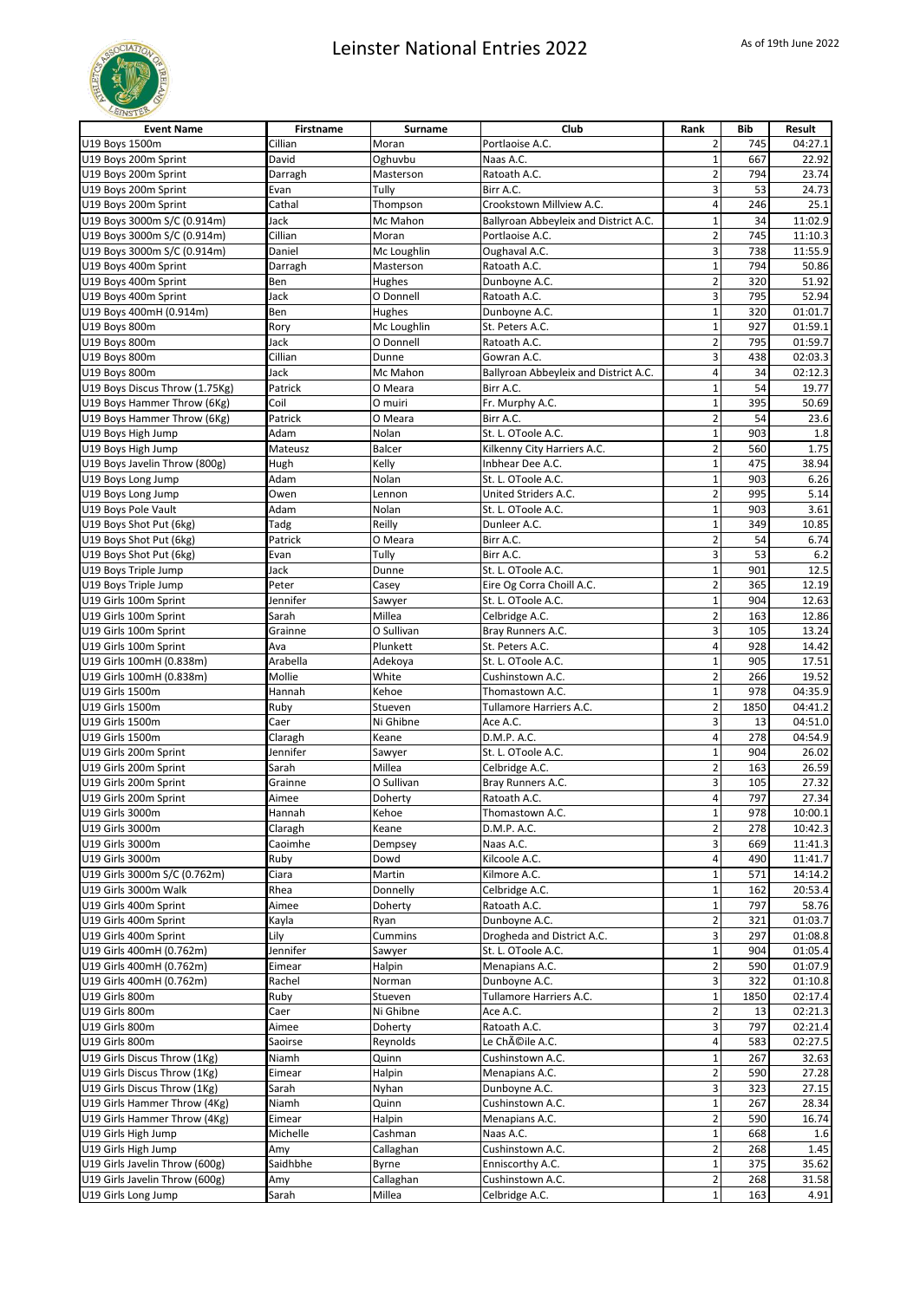

| <b>Event Name</b>              | Firstname | Surname     | Club                                  | Rank                     | <b>Bib</b> | Result  |
|--------------------------------|-----------|-------------|---------------------------------------|--------------------------|------------|---------|
| U19 Boys 1500m                 | Cillian   | Moran       | Portlaoise A.C.                       | 2                        | 745        | 04:27.1 |
| U19 Boys 200m Sprint           | David     | Oghuvbu     | Naas A.C.                             | $\mathbf{1}$             | 667        | 22.92   |
| U19 Boys 200m Sprint           | Darragh   | Masterson   | Ratoath A.C.                          | $\overline{2}$           | 794        | 23.74   |
| U19 Boys 200m Sprint           | Evan      | Tully       | Birr A.C.                             | 3                        | 53         | 24.73   |
| U19 Boys 200m Sprint           | Cathal    | Thompson    | Crookstown Millview A.C.              | 4                        | 246        | 25.1    |
| U19 Boys 3000m S/C (0.914m)    | Jack      | Mc Mahon    | Ballyroan Abbeyleix and District A.C. | $\mathbf 1$              | 34         | 11:02.9 |
| U19 Boys 3000m S/C (0.914m)    | Cillian   | Moran       | Portlaoise A.C.                       | $\overline{2}$           | 745        | 11:10.3 |
| U19 Boys 3000m S/C (0.914m)    | Daniel    | Mc Loughlin | Oughaval A.C.                         | 3                        | 738        | 11:55.9 |
| U19 Boys 400m Sprint           | Darragh   | Masterson   | Ratoath A.C.                          | $\mathbf{1}$             | 794        | 50.86   |
| U19 Boys 400m Sprint           | Ben       | Hughes      | Dunboyne A.C.                         | $\overline{2}$           | 320        | 51.92   |
| U19 Boys 400m Sprint           | Jack      | O Donnell   | Ratoath A.C.                          | 3                        | 795        | 52.94   |
| U19 Boys 400mH (0.914m)        | Ben       | Hughes      | Dunboyne A.C.                         | $\mathbf{1}$             | 320        | 01:01.7 |
| U19 Boys 800m                  | Rory      | Mc Loughlin | St. Peters A.C.                       | $\mathbf 1$              | 927        | 01:59.1 |
| U19 Boys 800m                  | Jack      | O Donnell   | Ratoath A.C.                          | $\overline{2}$           | 795        | 01:59.7 |
| U19 Boys 800m                  | Cillian   | Dunne       | Gowran A.C.                           | 3                        | 438        | 02:03.3 |
| U19 Boys 800m                  | Jack      | Mc Mahon    | Ballyroan Abbeyleix and District A.C. | 4                        | 34         | 02:12.3 |
| U19 Boys Discus Throw (1.75Kg) | Patrick   | O Meara     | Birr A.C.                             | $\mathbf{1}$             | 54         | 19.77   |
| U19 Boys Hammer Throw (6Kg)    | Coil      | O muiri     | Fr. Murphy A.C.                       | $\mathbf 1$              | 395        | 50.69   |
| U19 Boys Hammer Throw (6Kg)    | Patrick   | O Meara     | Birr A.C.                             | $\overline{2}$           | 54         | 23.6    |
| U19 Boys High Jump             | Adam      | Nolan       | St. L. OToole A.C.                    | $\mathbf 1$              | 903        | 1.8     |
| U19 Boys High Jump             | Mateusz   | Balcer      | Kilkenny City Harriers A.C.           | $\overline{2}$           | 560        | 1.75    |
| U19 Boys Javelin Throw (800g)  | Hugh      | Kelly       | Inbhear Dee A.C.                      | $\mathbf 1$              | 475        | 38.94   |
| U19 Boys Long Jump             | Adam      | Nolan       | St. L. OToole A.C.                    | $\mathbf{1}$             | 903        | 6.26    |
| U19 Boys Long Jump             | Owen      | Lennon      | United Striders A.C.                  | $\overline{2}$           | 995        | 5.14    |
| U19 Boys Pole Vault            | Adam      | Nolan       | St. L. OToole A.C.                    | $\mathbf 1$              | 903        | 3.61    |
| U19 Boys Shot Put (6kg)        | Tadg      | Reilly      | Dunleer A.C.                          | $\mathbf 1$              | 349        | 10.85   |
| U19 Boys Shot Put (6kg)        | Patrick   | O Meara     | Birr A.C.                             | $\overline{2}$           | 54         | 6.74    |
| U19 Boys Shot Put (6kg)        | Evan      | Tully       | Birr A.C.                             | 3                        | 53         | 6.2     |
| U19 Boys Triple Jump           | Jack      | Dunne       | St. L. OToole A.C.                    | $\mathbf 1$              | 901        | 12.5    |
| U19 Boys Triple Jump           | Peter     | Casey       | Eire Og Corra Choill A.C.             | $\overline{2}$           | 365        | 12.19   |
| U19 Girls 100m Sprint          | Jennifer  | Sawyer      | St. L. OToole A.C.                    | $\mathbf{1}$             | 904        | 12.63   |
| U19 Girls 100m Sprint          | Sarah     | Millea      | Celbridge A.C.                        | $\overline{2}$           | 163        | 12.86   |
| U19 Girls 100m Sprint          | Grainne   | O Sullivan  | Bray Runners A.C.                     | 3                        | 105        | 13.24   |
| U19 Girls 100m Sprint          | Ava       | Plunkett    | St. Peters A.C.                       | 4                        | 928        | 14.42   |
| U19 Girls 100mH (0.838m)       | Arabella  | Adekoya     | St. L. OToole A.C.                    | $\mathbf{1}$             | 905        | 17.51   |
| U19 Girls 100mH (0.838m)       | Mollie    | White       | Cushinstown A.C.                      | $\overline{2}$           | 266        | 19.52   |
| U19 Girls 1500m                | Hannah    | Kehoe       | Thomastown A.C.                       | $\mathbf{1}$             | 978        | 04:35.9 |
| U19 Girls 1500m                | Ruby      | Stueven     | Tullamore Harriers A.C.               | $\overline{2}$           | 1850       | 04:41.2 |
| U19 Girls 1500m                | Caer      | Ni Ghibne   | Ace A.C.                              | 3                        | 13         | 04:51.0 |
| U19 Girls 1500m                | Claragh   | Keane       | D.M.P. A.C.                           | 4                        | 278        | 04:54.9 |
| U19 Girls 200m Sprint          | Jennifer  | Sawyer      | St. L. OToole A.C.                    | $\mathbf 1$              | 904        | 26.02   |
| U19 Girls 200m Sprint          | Sarah     | Millea      | Celbridge A.C.                        | $\overline{2}$           | 163        | 26.59   |
| U19 Girls 200m Sprint          | Grainne   | O Sullivan  | Bray Runners A.C.                     | 3                        | 105        | 27.32   |
| U19 Girls 200m Sprint          | Aimee     | Doherty     | Ratoath A.C.                          | 4                        | 797        | 27.34   |
| U19 Girls 3000m                | Hannah    | Kehoe       | Thomastown A.C.                       | $\vert \mathbf{r} \vert$ | 978        | 10:00.1 |
| U19 Girls 3000m                | Claragh   | Keane       | D.M.P. A.C.                           | $\overline{2}$           | 278        | 10:42.3 |
| U19 Girls 3000m                | Caoimhe   | Dempsey     | Naas A.C.                             | 3                        | 669        | 11:41.3 |
| U19 Girls 3000m                | Ruby      | Dowd        | Kilcoole A.C.                         | 4                        | 490        | 11:41.7 |
| U19 Girls 3000m S/C (0.762m)   | Ciara     | Martin      | Kilmore A.C.                          | $\mathbf 1$              | 571        | 14:14.2 |
| U19 Girls 3000m Walk           | Rhea      | Donnelly    | Celbridge A.C.                        | $\mathbf{1}$             | 162        | 20:53.4 |
| U19 Girls 400m Sprint          | Aimee     | Doherty     | Ratoath A.C.                          | $\mathbf 1$              | 797        | 58.76   |
| U19 Girls 400m Sprint          | Kayla     | Ryan        | Dunboyne A.C.                         | $\mathbf 2$              | 321        | 01:03.7 |
| U19 Girls 400m Sprint          | Lily      | Cummins     | Drogheda and District A.C.            | 3                        | 297        | 01:08.8 |
| U19 Girls 400mH (0.762m)       | Jennifer  | Sawyer      | St. L. OToole A.C.                    | $\mathbf 1$              | 904        | 01:05.4 |
| U19 Girls 400mH (0.762m)       | Eimear    | Halpin      | Menapians A.C.                        | $\overline{2}$           | 590        | 01:07.9 |
| U19 Girls 400mH (0.762m)       | Rachel    | Norman      | Dunboyne A.C.                         | 3                        | 322        | 01:10.8 |
| U19 Girls 800m                 | Ruby      | Stueven     | Tullamore Harriers A.C.               | $\mathbf 1$              | 1850       | 02:17.4 |
| U19 Girls 800m                 | Caer      | Ni Ghibne   | Ace A.C.                              | $\overline{2}$           | 13         | 02:21.3 |
| U19 Girls 800m                 | Aimee     | Doherty     | Ratoath A.C.                          | 3                        | 797        | 02:21.4 |
| U19 Girls 800m                 | Saoirse   | Reynolds    | Le Chéile A.C.                        | 4                        | 583        | 02:27.5 |
| U19 Girls Discus Throw (1Kg)   | Niamh     | Quinn       | Cushinstown A.C.                      | $\mathbf 1$              | 267        | 32.63   |
| U19 Girls Discus Throw (1Kg)   | Eimear    | Halpin      | Menapians A.C.                        | $\overline{2}$           | 590        | 27.28   |
| U19 Girls Discus Throw (1Kg)   | Sarah     | Nyhan       | Dunboyne A.C.                         | 3                        | 323        | 27.15   |
| U19 Girls Hammer Throw (4Kg)   | Niamh     | Quinn       | Cushinstown A.C.                      | $\mathbf 1$              | 267        | 28.34   |
| U19 Girls Hammer Throw (4Kg)   | Eimear    | Halpin      | Menapians A.C.                        | $\overline{2}$           | 590        | 16.74   |
| U19 Girls High Jump            | Michelle  | Cashman     | Naas A.C.                             | $\mathbf 1$              | 668        | 1.6     |
| U19 Girls High Jump            | Amy       | Callaghan   | Cushinstown A.C.                      | $\overline{2}$           | 268        | 1.45    |
| U19 Girls Javelin Throw (600g) | Saidhbhe  | Byrne       | Enniscorthy A.C.                      | $\mathbf 1$              | 375        | 35.62   |
| U19 Girls Javelin Throw (600g) | Amy       | Callaghan   | Cushinstown A.C.                      | 2                        | 268        | 31.58   |
| U19 Girls Long Jump            | Sarah     | Millea      | Celbridge A.C.                        | $\mathbf{1}$             | 163        | 4.91    |